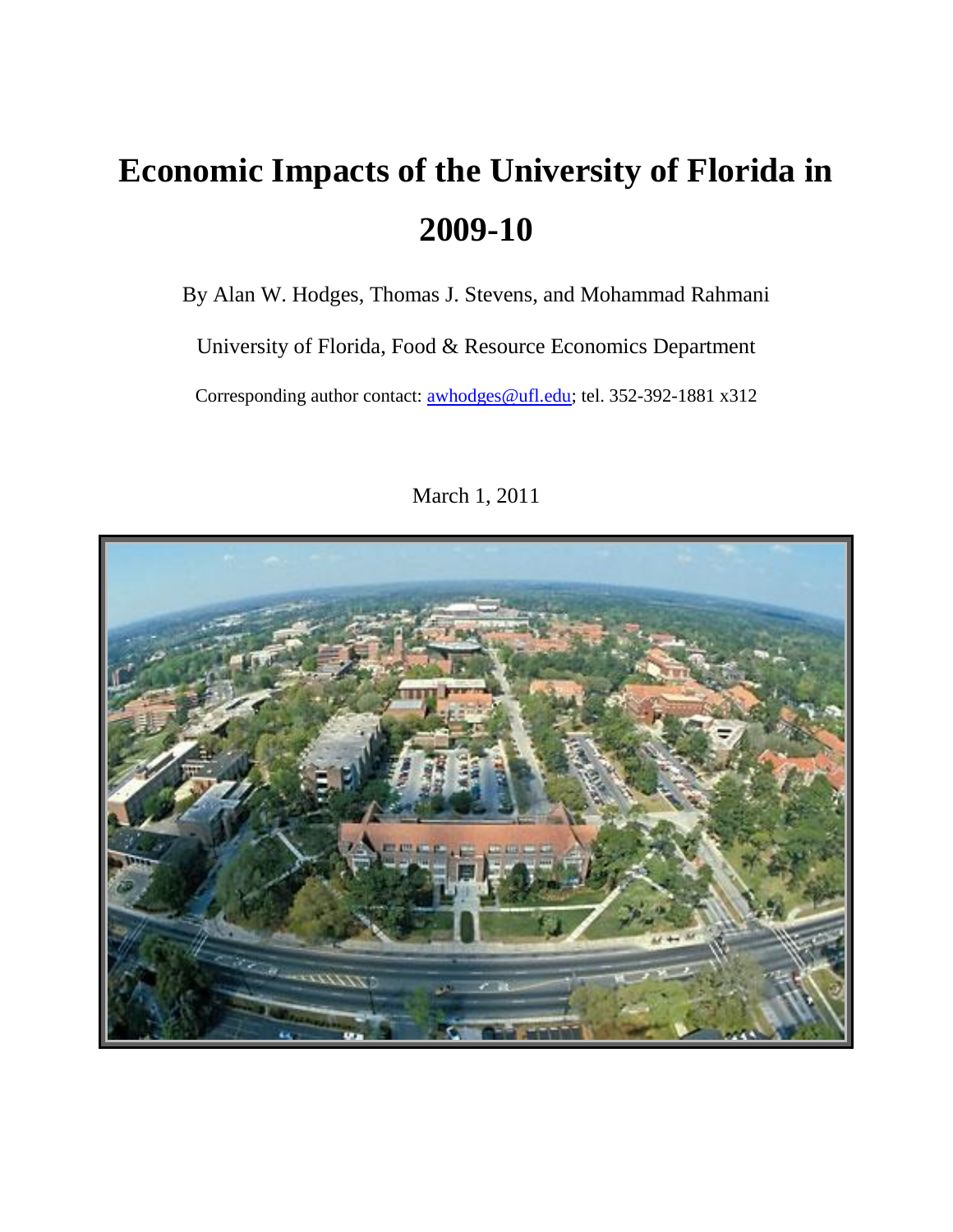By Alan W. Hodges, Thomas J. Stevens, and Mohammad Rahmani

University of Florida, Food & Resource Economics Department

Corresponding author contact: **awhodges@ufl.edu**; tel. 352-392-1881 x312



March 1, 2011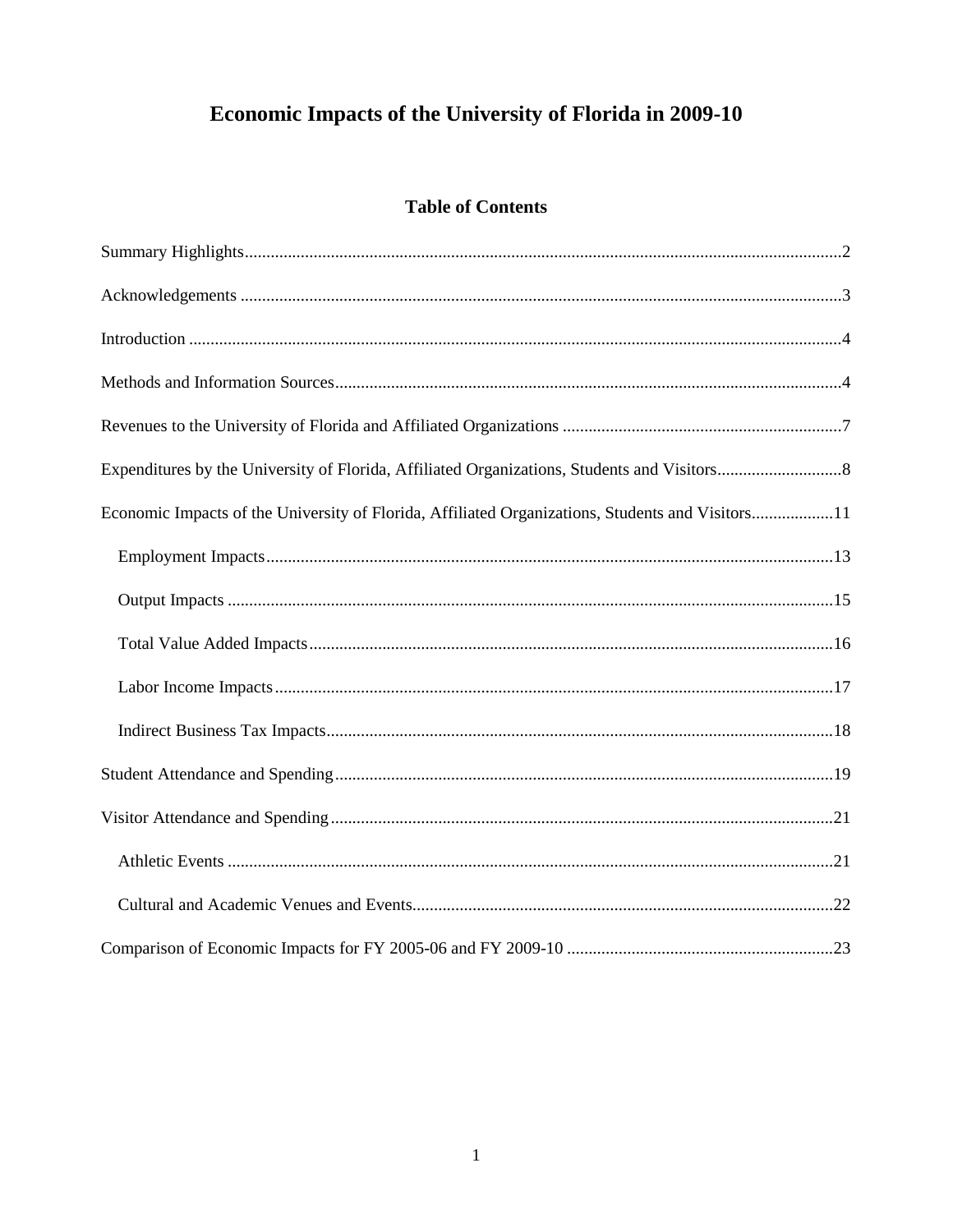# **Table of Contents**

| Economic Impacts of the University of Florida, Affiliated Organizations, Students and Visitors11 |
|--------------------------------------------------------------------------------------------------|
|                                                                                                  |
|                                                                                                  |
|                                                                                                  |
|                                                                                                  |
|                                                                                                  |
|                                                                                                  |
|                                                                                                  |
|                                                                                                  |
|                                                                                                  |
|                                                                                                  |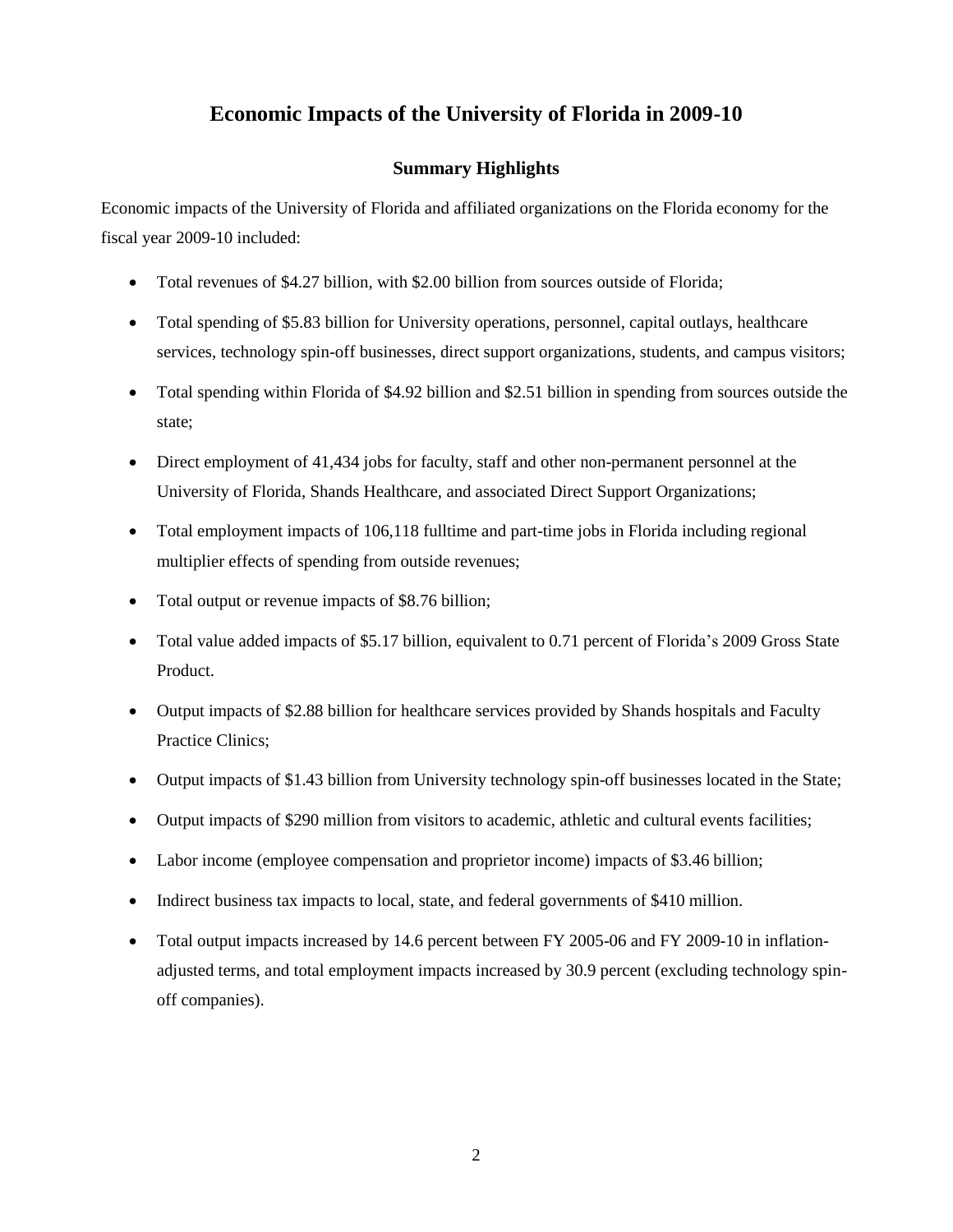# **Summary Highlights**

<span id="page-2-0"></span>Economic impacts of the University of Florida and affiliated organizations on the Florida economy for the fiscal year 2009-10 included:

- Total revenues of \$4.27 billion, with \$2.00 billion from sources outside of Florida;
- Total spending of \$5.83 billion for University operations, personnel, capital outlays, healthcare services, technology spin-off businesses, direct support organizations, students, and campus visitors;
- Total spending within Florida of \$4.92 billion and \$2.51 billion in spending from sources outside the state;
- Direct employment of 41,434 jobs for faculty, staff and other non-permanent personnel at the University of Florida, Shands Healthcare, and associated Direct Support Organizations;
- Total employment impacts of 106,118 fulltime and part-time jobs in Florida including regional multiplier effects of spending from outside revenues;
- Total output or revenue impacts of \$8.76 billion;
- Total value added impacts of \$5.17 billion, equivalent to 0.71 percent of Florida's 2009 Gross State Product.
- Output impacts of \$2.88 billion for healthcare services provided by Shands hospitals and Faculty Practice Clinics;
- Output impacts of \$1.43 billion from University technology spin-off businesses located in the State;
- Output impacts of \$290 million from visitors to academic, athletic and cultural events facilities;
- Labor income (employee compensation and proprietor income) impacts of \$3.46 billion;
- Indirect business tax impacts to local, state, and federal governments of \$410 million.
- Total output impacts increased by 14.6 percent between FY 2005-06 and FY 2009-10 in inflationadjusted terms, and total employment impacts increased by 30.9 percent (excluding technology spinoff companies).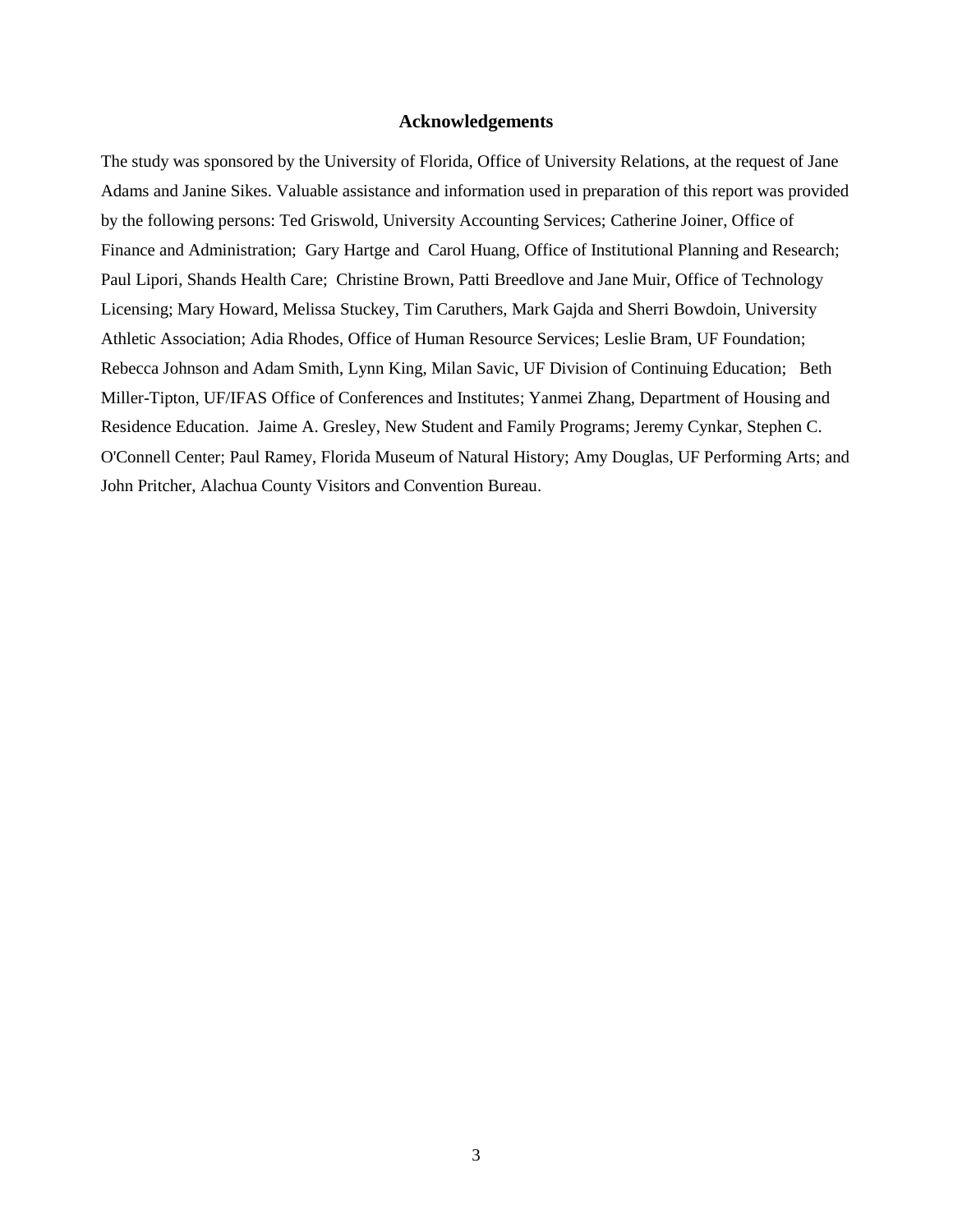#### **Acknowledgements**

<span id="page-3-0"></span>The study was sponsored by the University of Florida, Office of University Relations, at the request of Jane Adams and Janine Sikes. Valuable assistance and information used in preparation of this report was provided by the following persons: Ted Griswold, University Accounting Services; Catherine Joiner, Office of Finance and Administration; Gary Hartge and Carol Huang, Office of Institutional Planning and Research; Paul Lipori, Shands Health Care; Christine Brown, Patti Breedlove and Jane Muir, Office of Technology Licensing; Mary Howard, Melissa Stuckey, Tim Caruthers, Mark Gajda and Sherri Bowdoin, University Athletic Association; Adia Rhodes, Office of Human Resource Services; Leslie Bram, UF Foundation; Rebecca Johnson and Adam Smith, Lynn King, Milan Savic, UF Division of Continuing Education; Beth Miller-Tipton, UF/IFAS Office of Conferences and Institutes; Yanmei Zhang, Department of Housing and Residence Education. Jaime A. Gresley, New Student and Family Programs; Jeremy Cynkar, Stephen C. O'Connell Center; Paul Ramey, Florida Museum of Natural History; Amy Douglas, UF Performing Arts; and John Pritcher, Alachua County Visitors and Convention Bureau.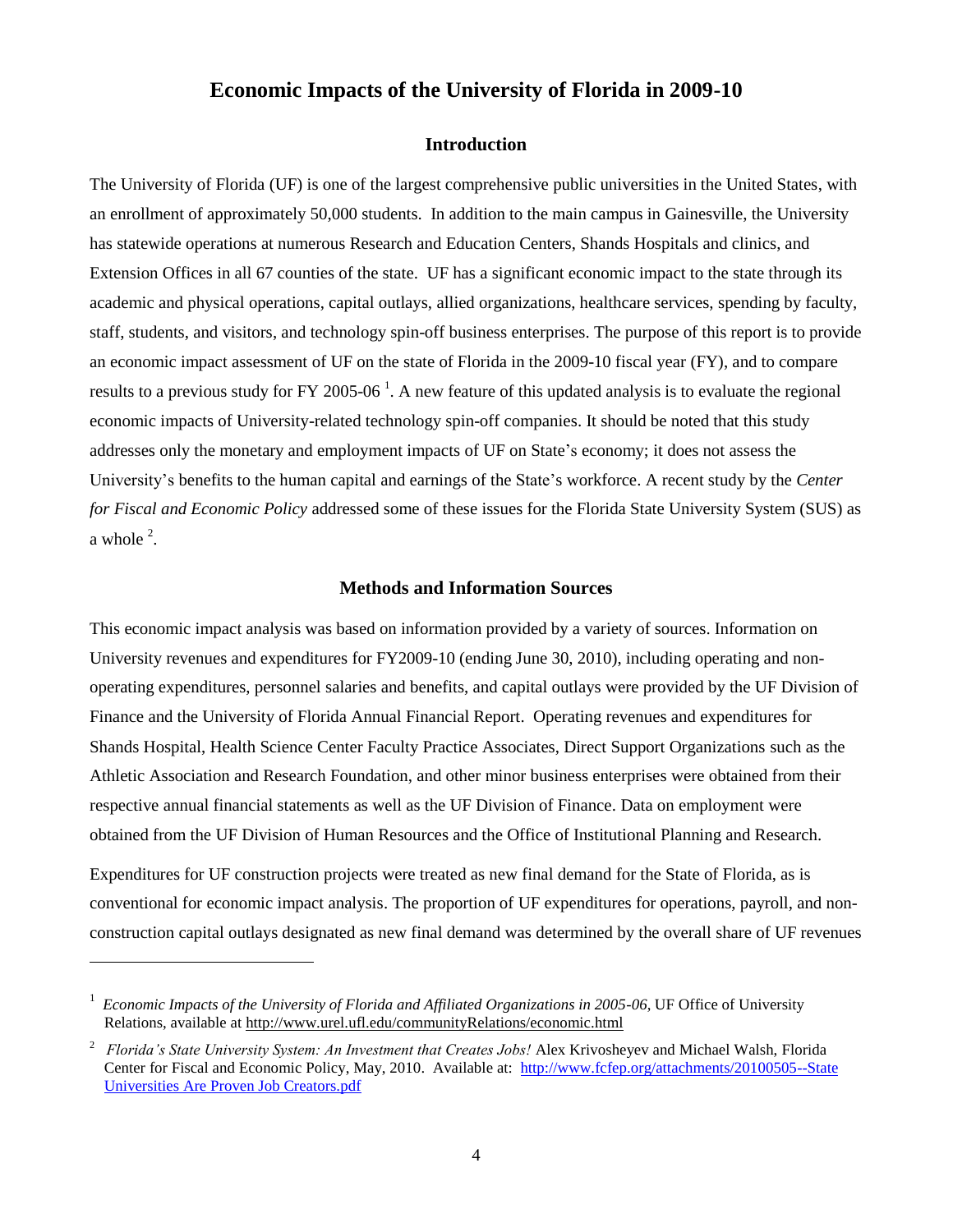# **Introduction**

<span id="page-4-0"></span>The University of Florida (UF) is one of the largest comprehensive public universities in the United States, with an enrollment of approximately 50,000 students. In addition to the main campus in Gainesville, the University has statewide operations at numerous Research and Education Centers, Shands Hospitals and clinics, and Extension Offices in all 67 counties of the state. UF has a significant economic impact to the state through its academic and physical operations, capital outlays, allied organizations, healthcare services, spending by faculty, staff, students, and visitors, and technology spin-off business enterprises. The purpose of this report is to provide an economic impact assessment of UF on the state of Florida in the 2009-10 fiscal year (FY), and to compare results to a previous study for FY 2005-06<sup>1</sup>. A new feature of this updated analysis is to evaluate the regional economic impacts of University-related technology spin-off companies. It should be noted that this study addresses only the monetary and employment impacts of UF on State's economy; it does not assess the University's benefits to the human capital and earnings of the State's workforce. A recent study by the *Center for Fiscal and Economic Policy* addressed some of these issues for the Florida State University System (SUS) as a whole  $2$ .

# **Methods and Information Sources**

<span id="page-4-1"></span>This economic impact analysis was based on information provided by a variety of sources. Information on University revenues and expenditures for FY2009-10 (ending June 30, 2010), including operating and nonoperating expenditures, personnel salaries and benefits, and capital outlays were provided by the UF Division of Finance and the University of Florida Annual Financial Report. Operating revenues and expenditures for Shands Hospital, Health Science Center Faculty Practice Associates, Direct Support Organizations such as the Athletic Association and Research Foundation, and other minor business enterprises were obtained from their respective annual financial statements as well as the UF Division of Finance. Data on employment were obtained from the UF Division of Human Resources and the Office of Institutional Planning and Research.

Expenditures for UF construction projects were treated as new final demand for the State of Florida, as is conventional for economic impact analysis. The proportion of UF expenditures for operations, payroll, and nonconstruction capital outlays designated as new final demand was determined by the overall share of UF revenues

 $\overline{\phantom{a}}$ 

<sup>&</sup>lt;sup>1</sup> Economic Impacts of the University of Florida and Affiliated Organizations in 2005-06, UF Office of University Relations, available at<http://www.urel.ufl.edu/communityRelations/economic.html>

<sup>2</sup> *Florida's State University System: An Investment that Creates Jobs!* Alex Krivosheyev and Michael Walsh, Florida Center for Fiscal and Economic Policy, May, 2010. Available at: [http://www.fcfep.org/attachments/20100505--State](http://www.fcfep.org/attachments/20100505--State%20Universities%20Are%20Proven%20Job%20Creators.pdf)  [Universities Are Proven Job Creators.pdf](http://www.fcfep.org/attachments/20100505--State%20Universities%20Are%20Proven%20Job%20Creators.pdf)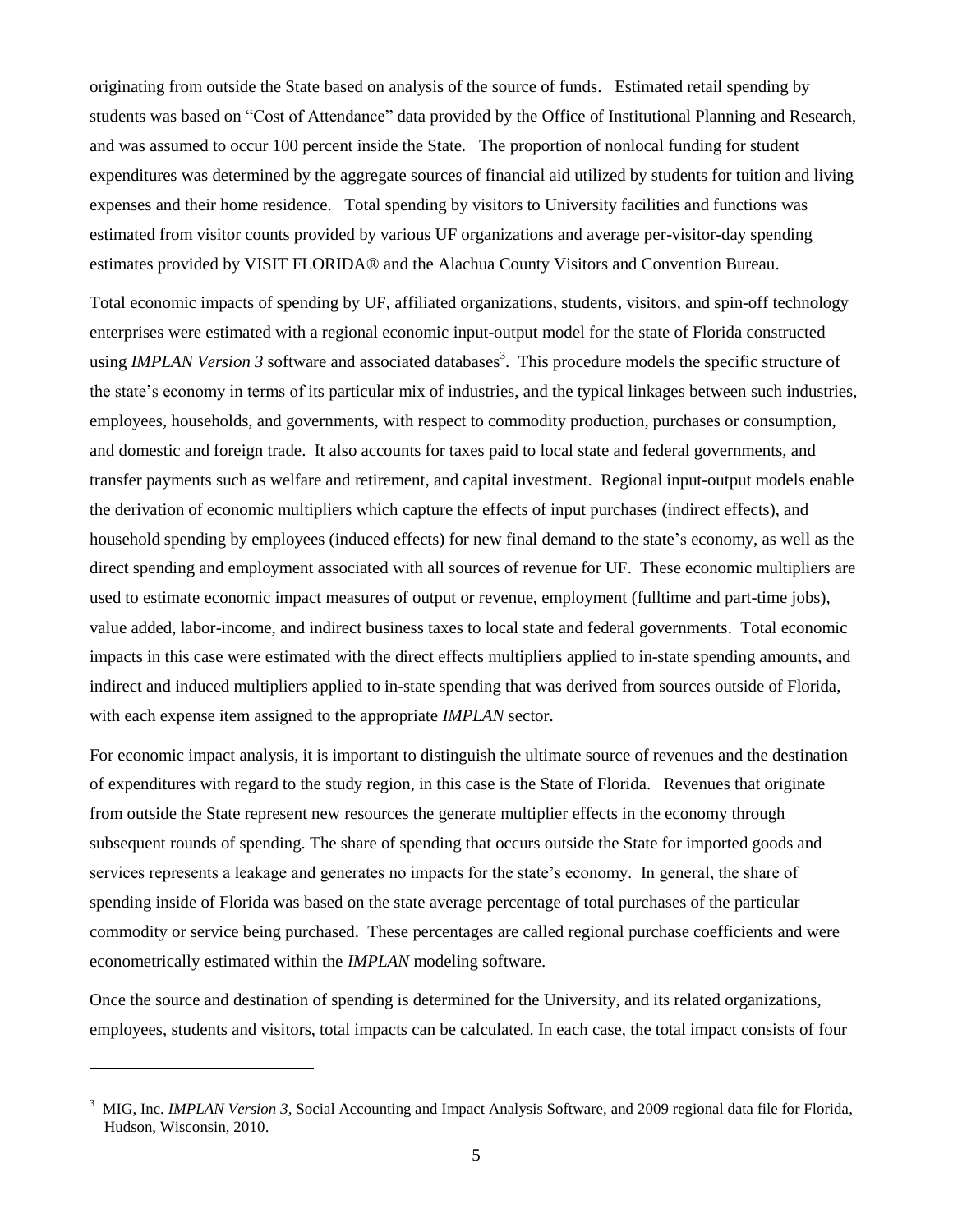originating from outside the State based on analysis of the source of funds. Estimated retail spending by students was based on "Cost of Attendance" data provided by the Office of Institutional Planning and Research, and was assumed to occur 100 percent inside the State. The proportion of nonlocal funding for student expenditures was determined by the aggregate sources of financial aid utilized by students for tuition and living expenses and their home residence. Total spending by visitors to University facilities and functions was estimated from visitor counts provided by various UF organizations and average per-visitor-day spending estimates provided by VISIT FLORIDA® and the Alachua County Visitors and Convention Bureau.

Total economic impacts of spending by UF, affiliated organizations, students, visitors, and spin-off technology enterprises were estimated with a regional economic input-output model for the state of Florida constructed using *IMPLAN Version 3* software and associated databases<sup>3</sup>. This procedure models the specific structure of the state's economy in terms of its particular mix of industries, and the typical linkages between such industries, employees, households, and governments, with respect to commodity production, purchases or consumption, and domestic and foreign trade. It also accounts for taxes paid to local state and federal governments, and transfer payments such as welfare and retirement, and capital investment. Regional input-output models enable the derivation of economic multipliers which capture the effects of input purchases (indirect effects), and household spending by employees (induced effects) for new final demand to the state's economy, as well as the direct spending and employment associated with all sources of revenue for UF. These economic multipliers are used to estimate economic impact measures of output or revenue, employment (fulltime and part-time jobs), value added, labor-income, and indirect business taxes to local state and federal governments. Total economic impacts in this case were estimated with the direct effects multipliers applied to in-state spending amounts, and indirect and induced multipliers applied to in-state spending that was derived from sources outside of Florida, with each expense item assigned to the appropriate *IMPLAN* sector.

For economic impact analysis, it is important to distinguish the ultimate source of revenues and the destination of expenditures with regard to the study region, in this case is the State of Florida. Revenues that originate from outside the State represent new resources the generate multiplier effects in the economy through subsequent rounds of spending. The share of spending that occurs outside the State for imported goods and services represents a leakage and generates no impacts for the state's economy. In general, the share of spending inside of Florida was based on the state average percentage of total purchases of the particular commodity or service being purchased. These percentages are called regional purchase coefficients and were econometrically estimated within the *IMPLAN* modeling software.

Once the source and destination of spending is determined for the University, and its related organizations, employees, students and visitors, total impacts can be calculated. In each case, the total impact consists of four

l

<sup>&</sup>lt;sup>3</sup> MIG, Inc. *IMPLAN Version 3*, Social Accounting and Impact Analysis Software, and 2009 regional data file for Florida, Hudson, Wisconsin, 2010.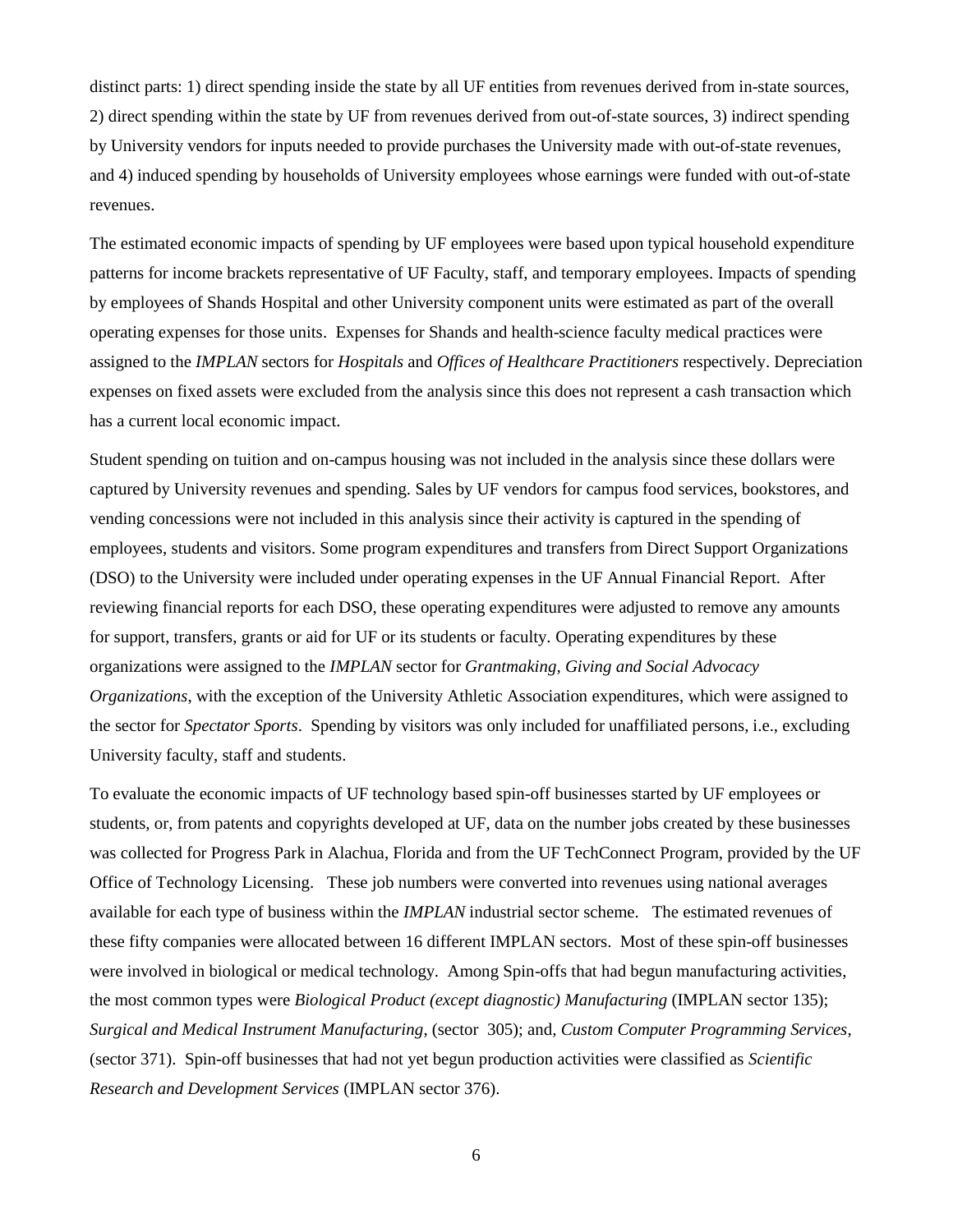distinct parts: 1) direct spending inside the state by all UF entities from revenues derived from in-state sources, 2) direct spending within the state by UF from revenues derived from out-of-state sources, 3) indirect spending by University vendors for inputs needed to provide purchases the University made with out-of-state revenues, and 4) induced spending by households of University employees whose earnings were funded with out-of-state revenues.

The estimated economic impacts of spending by UF employees were based upon typical household expenditure patterns for income brackets representative of UF Faculty, staff, and temporary employees. Impacts of spending by employees of Shands Hospital and other University component units were estimated as part of the overall operating expenses for those units. Expenses for Shands and health-science faculty medical practices were assigned to the *IMPLAN* sectors for *Hospitals* and *Offices of Healthcare Practitioners* respectively. Depreciation expenses on fixed assets were excluded from the analysis since this does not represent a cash transaction which has a current local economic impact.

Student spending on tuition and on-campus housing was not included in the analysis since these dollars were captured by University revenues and spending. Sales by UF vendors for campus food services, bookstores, and vending concessions were not included in this analysis since their activity is captured in the spending of employees, students and visitors. Some program expenditures and transfers from Direct Support Organizations (DSO) to the University were included under operating expenses in the UF Annual Financial Report. After reviewing financial reports for each DSO, these operating expenditures were adjusted to remove any amounts for support, transfers, grants or aid for UF or its students or faculty. Operating expenditures by these organizations were assigned to the *IMPLAN* sector for *Grantmaking, Giving and Social Advocacy Organizations*, with the exception of the University Athletic Association expenditures, which were assigned to the sector for *Spectator Sports*. Spending by visitors was only included for unaffiliated persons, i.e., excluding University faculty, staff and students.

To evaluate the economic impacts of UF technology based spin-off businesses started by UF employees or students, or, from patents and copyrights developed at UF, data on the number jobs created by these businesses was collected for Progress Park in Alachua, Florida and from the UF TechConnect Program, provided by the UF Office of Technology Licensing. These job numbers were converted into revenues using national averages available for each type of business within the *IMPLAN* industrial sector scheme. The estimated revenues of these fifty companies were allocated between 16 different IMPLAN sectors. Most of these spin-off businesses were involved in biological or medical technology. Among Spin-offs that had begun manufacturing activities, the most common types were *Biological Product (except diagnostic) Manufacturing* (IMPLAN sector 135); *Surgical and Medical Instrument Manufacturing*, (sector 305); and*, Custom Computer Programming Services*, (sector 371). Spin-off businesses that had not yet begun production activities were classified as *Scientific Research and Development Services* (IMPLAN sector 376).

6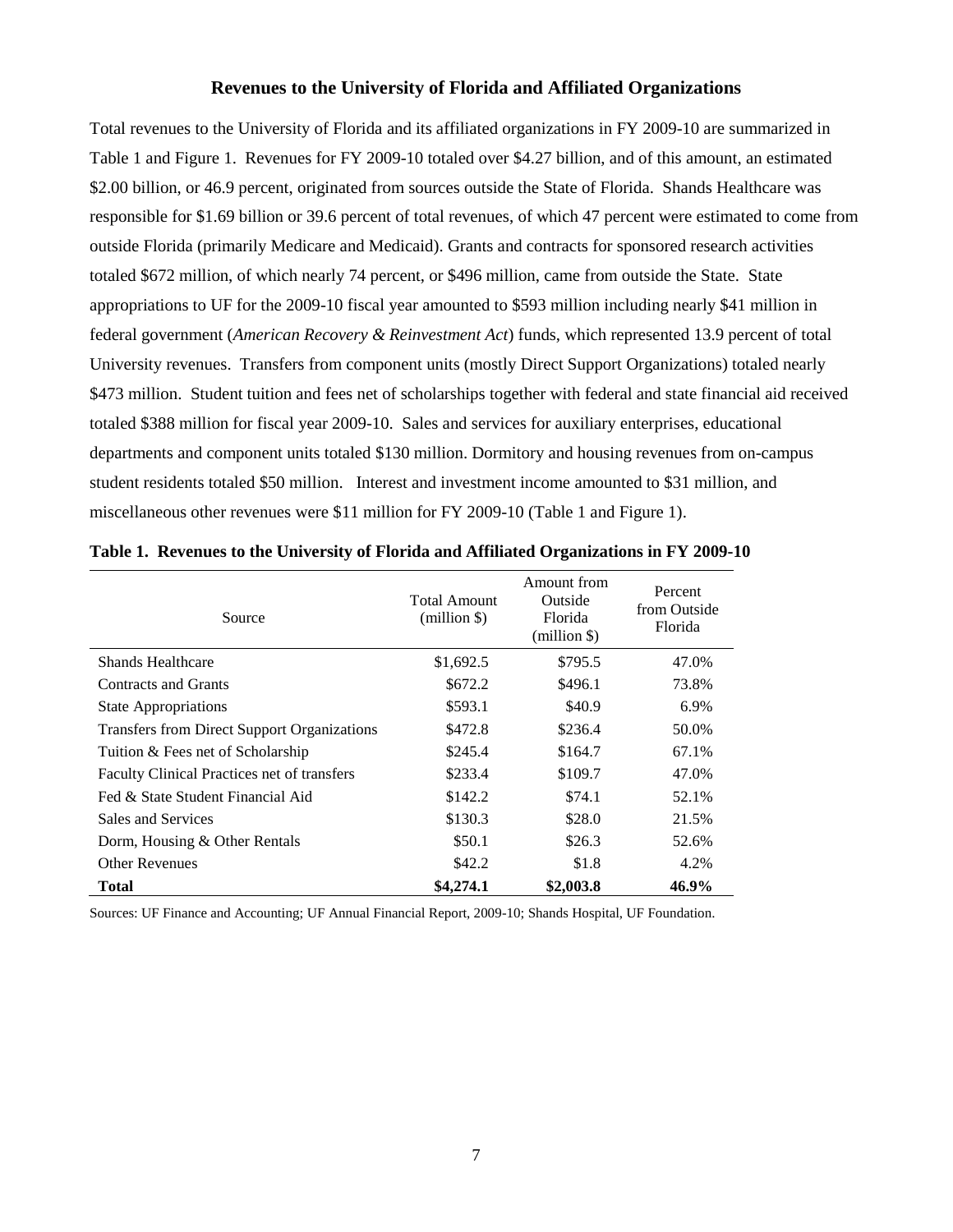# **Revenues to the University of Florida and Affiliated Organizations**

<span id="page-7-0"></span>Total revenues to the University of Florida and its affiliated organizations in FY 2009-10 are summarized in Table 1 and Figure 1. Revenues for FY 2009-10 totaled over \$4.27 billion, and of this amount, an estimated \$2.00 billion, or 46.9 percent, originated from sources outside the State of Florida. Shands Healthcare was responsible for \$1.69 billion or 39.6 percent of total revenues, of which 47 percent were estimated to come from outside Florida (primarily Medicare and Medicaid). Grants and contracts for sponsored research activities totaled \$672 million, of which nearly 74 percent, or \$496 million, came from outside the State. State appropriations to UF for the 2009-10 fiscal year amounted to \$593 million including nearly \$41 million in federal government (*American Recovery & Reinvestment Act*) funds, which represented 13.9 percent of total University revenues. Transfers from component units (mostly Direct Support Organizations) totaled nearly \$473 million. Student tuition and fees net of scholarships together with federal and state financial aid received totaled \$388 million for fiscal year 2009-10. Sales and services for auxiliary enterprises, educational departments and component units totaled \$130 million. Dormitory and housing revenues from on-campus student residents totaled \$50 million. Interest and investment income amounted to \$31 million, and miscellaneous other revenues were \$11 million for FY 2009-10 (Table 1 and Figure 1).

| Source                                      | <b>Total Amount</b><br>$(million \$ | Amount from<br>Outside<br>Florida<br>$(million \$ | Percent<br>from Outside<br>Florida |
|---------------------------------------------|-------------------------------------|---------------------------------------------------|------------------------------------|
| Shands Healthcare                           | \$1,692.5                           | \$795.5                                           | 47.0%                              |
| Contracts and Grants                        | \$672.2                             | \$496.1                                           | 73.8%                              |
| <b>State Appropriations</b>                 | \$593.1                             | \$40.9                                            | 6.9%                               |
| Transfers from Direct Support Organizations | \$472.8                             | \$236.4                                           | 50.0%                              |
| Tuition & Fees net of Scholarship           | \$245.4                             | \$164.7                                           | 67.1%                              |
| Faculty Clinical Practices net of transfers | \$233.4                             | \$109.7                                           | 47.0%                              |
| Fed & State Student Financial Aid           | \$142.2                             | \$74.1                                            | 52.1%                              |
| Sales and Services                          | \$130.3                             | \$28.0                                            | 21.5%                              |
| Dorm, Housing & Other Rentals               | \$50.1                              | \$26.3                                            | 52.6%                              |
| <b>Other Revenues</b>                       | \$42.2                              | \$1.8                                             | 4.2%                               |
| <b>Total</b>                                | \$4,274.1                           | \$2,003.8                                         | 46.9%                              |

**Table 1. Revenues to the University of Florida and Affiliated Organizations in FY 2009-10**

Sources: UF Finance and Accounting; UF Annual Financial Report, 2009-10; Shands Hospital, UF Foundation.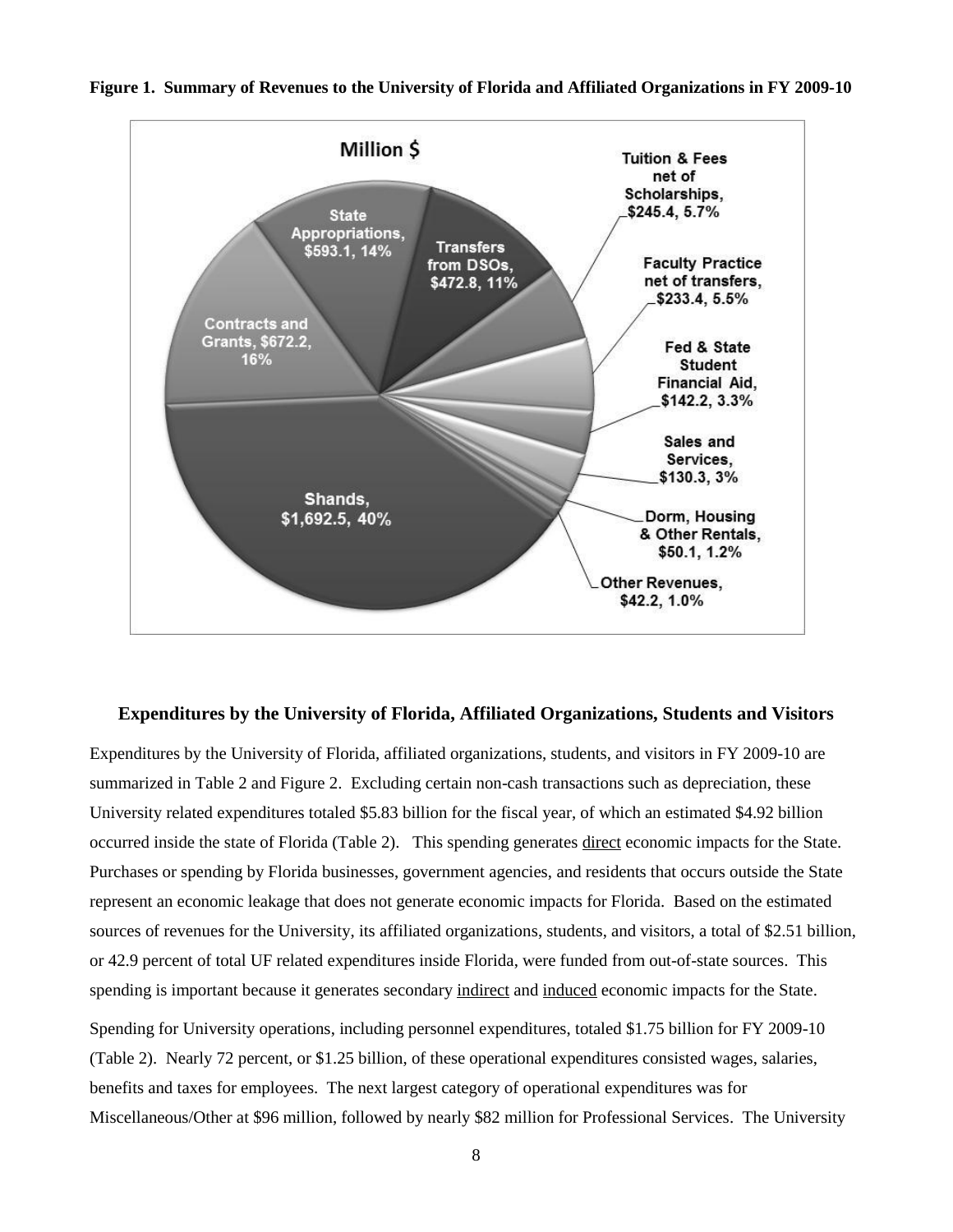

#### **Figure 1. Summary of Revenues to the University of Florida and Affiliated Organizations in FY 2009-10**

# <span id="page-8-0"></span>**Expenditures by the University of Florida, Affiliated Organizations, Students and Visitors**

Expenditures by the University of Florida, affiliated organizations, students, and visitors in FY 2009-10 are summarized in Table 2 and Figure 2. Excluding certain non-cash transactions such as depreciation, these University related expenditures totaled \$5.83 billion for the fiscal year, of which an estimated \$4.92 billion occurred inside the state of Florida (Table 2). This spending generates direct economic impacts for the State. Purchases or spending by Florida businesses, government agencies, and residents that occurs outside the State represent an economic leakage that does not generate economic impacts for Florida. Based on the estimated sources of revenues for the University, its affiliated organizations, students, and visitors, a total of \$2.51 billion, or 42.9 percent of total UF related expenditures inside Florida, were funded from out-of-state sources. This spending is important because it generates secondary indirect and induced economic impacts for the State.

Spending for University operations, including personnel expenditures, totaled \$1.75 billion for FY 2009-10 (Table 2). Nearly 72 percent, or \$1.25 billion, of these operational expenditures consisted wages, salaries, benefits and taxes for employees. The next largest category of operational expenditures was for Miscellaneous/Other at \$96 million, followed by nearly \$82 million for Professional Services. The University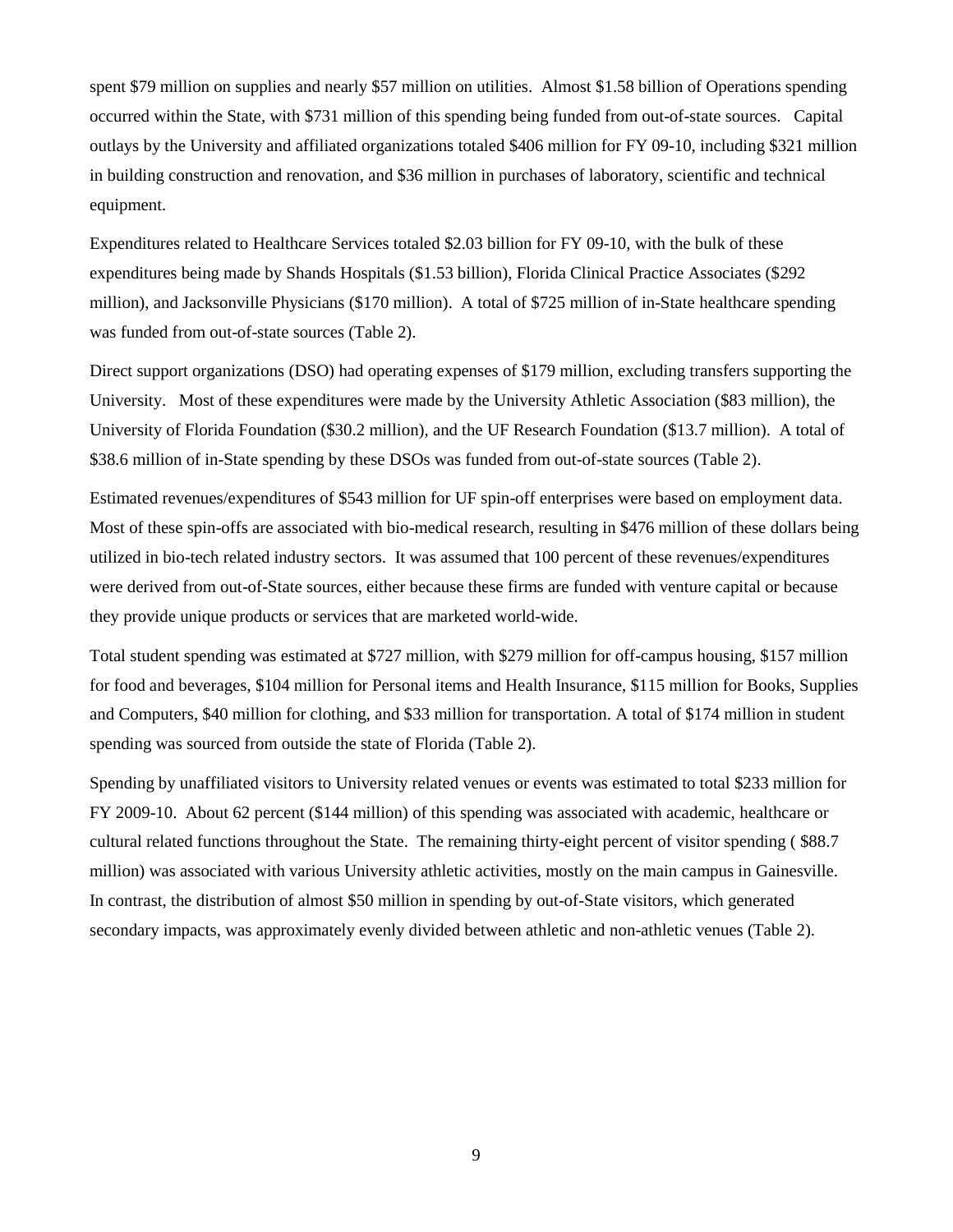spent \$79 million on supplies and nearly \$57 million on utilities. Almost \$1.58 billion of Operations spending occurred within the State, with \$731 million of this spending being funded from out-of-state sources. Capital outlays by the University and affiliated organizations totaled \$406 million for FY 09-10, including \$321 million in building construction and renovation, and \$36 million in purchases of laboratory, scientific and technical equipment.

Expenditures related to Healthcare Services totaled \$2.03 billion for FY 09-10, with the bulk of these expenditures being made by Shands Hospitals (\$1.53 billion), Florida Clinical Practice Associates (\$292 million), and Jacksonville Physicians (\$170 million). A total of \$725 million of in-State healthcare spending was funded from out-of-state sources (Table 2).

Direct support organizations (DSO) had operating expenses of \$179 million, excluding transfers supporting the University. Most of these expenditures were made by the University Athletic Association (\$83 million), the University of Florida Foundation (\$30.2 million), and the UF Research Foundation (\$13.7 million). A total of \$38.6 million of in-State spending by these DSOs was funded from out-of-state sources (Table 2).

Estimated revenues/expenditures of \$543 million for UF spin-off enterprises were based on employment data. Most of these spin-offs are associated with bio-medical research, resulting in \$476 million of these dollars being utilized in bio-tech related industry sectors. It was assumed that 100 percent of these revenues/expenditures were derived from out-of-State sources, either because these firms are funded with venture capital or because they provide unique products or services that are marketed world-wide.

Total student spending was estimated at \$727 million, with \$279 million for off-campus housing, \$157 million for food and beverages, \$104 million for Personal items and Health Insurance, \$115 million for Books, Supplies and Computers, \$40 million for clothing, and \$33 million for transportation. A total of \$174 million in student spending was sourced from outside the state of Florida (Table 2).

Spending by unaffiliated visitors to University related venues or events was estimated to total \$233 million for FY 2009-10. About 62 percent (\$144 million) of this spending was associated with academic, healthcare or cultural related functions throughout the State. The remaining thirty-eight percent of visitor spending ( \$88.7 million) was associated with various University athletic activities, mostly on the main campus in Gainesville. In contrast, the distribution of almost \$50 million in spending by out-of-State visitors, which generated secondary impacts, was approximately evenly divided between athletic and non-athletic venues (Table 2).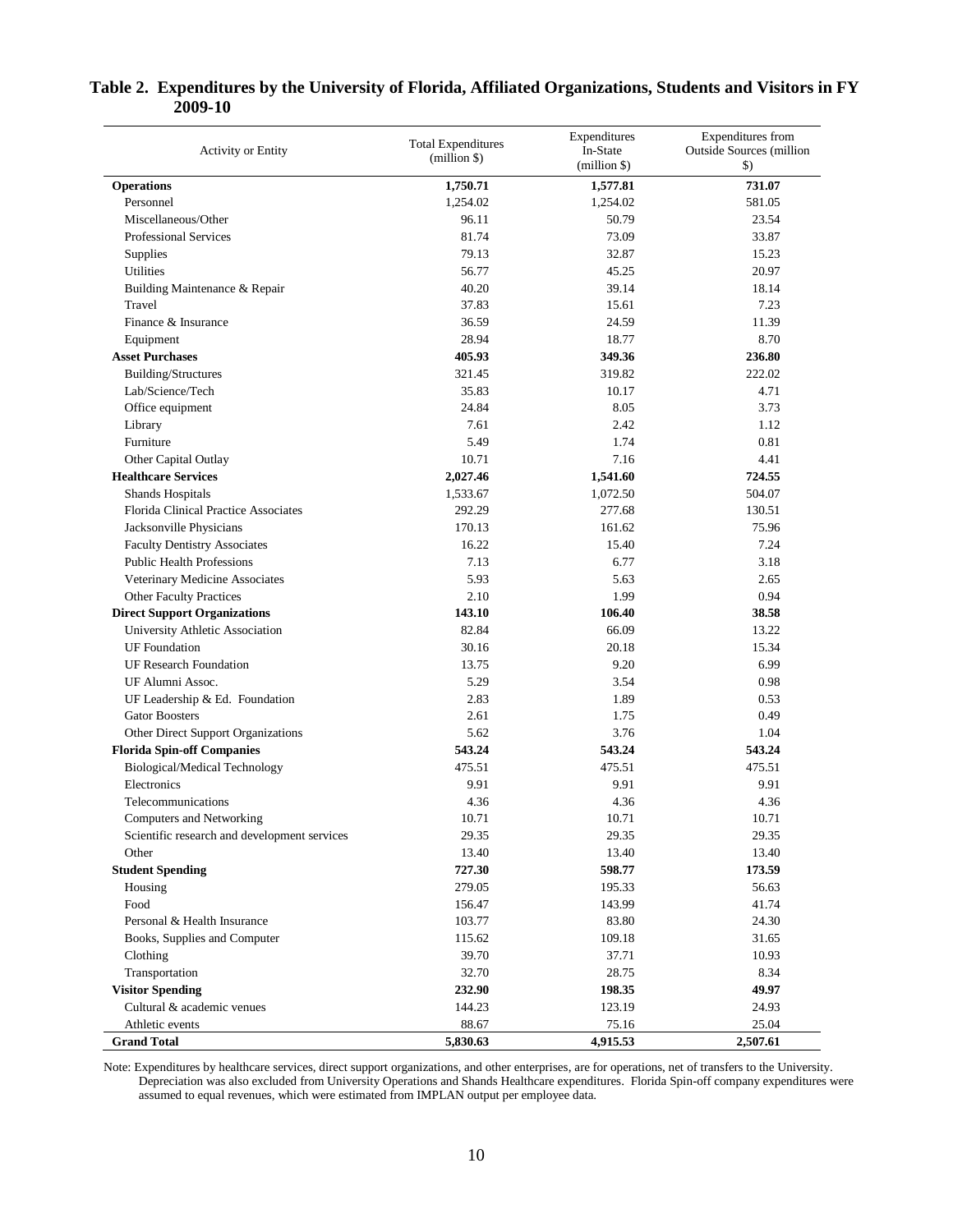| <b>Activity or Entity</b>                    | <b>Total Expenditures</b><br>(million <sub>5</sub> ) | Expenditures<br>In-State<br>(million \$) | Expenditures from<br><b>Outside Sources</b> (million<br>$\mathcal{S}$ |
|----------------------------------------------|------------------------------------------------------|------------------------------------------|-----------------------------------------------------------------------|
| <b>Operations</b>                            | 1,750.71                                             | 1,577.81                                 | 731.07                                                                |
| Personnel                                    | 1,254.02                                             | 1,254.02                                 | 581.05                                                                |
| Miscellaneous/Other                          | 96.11                                                | 50.79                                    | 23.54                                                                 |
| <b>Professional Services</b>                 | 81.74                                                | 73.09                                    | 33.87                                                                 |
| Supplies                                     | 79.13                                                | 32.87                                    | 15.23                                                                 |
| Utilities                                    | 56.77                                                | 45.25                                    | 20.97                                                                 |
| Building Maintenance & Repair                | 40.20                                                | 39.14                                    | 18.14                                                                 |
| Travel                                       | 37.83                                                | 15.61                                    | 7.23                                                                  |
| Finance & Insurance                          | 36.59                                                | 24.59                                    | 11.39                                                                 |
| Equipment                                    | 28.94                                                | 18.77                                    | 8.70                                                                  |
| <b>Asset Purchases</b>                       | 405.93                                               | 349.36                                   | 236.80                                                                |
| Building/Structures                          | 321.45                                               | 319.82                                   | 222.02                                                                |
| Lab/Science/Tech                             | 35.83                                                | 10.17                                    | 4.71                                                                  |
| Office equipment                             | 24.84                                                | 8.05                                     | 3.73                                                                  |
| Library                                      | 7.61                                                 | 2.42                                     | 1.12                                                                  |
| Furniture                                    | 5.49                                                 | 1.74                                     | 0.81                                                                  |
| Other Capital Outlay                         | 10.71                                                | 7.16                                     | 4.41                                                                  |
| <b>Healthcare Services</b>                   | 2,027.46                                             | 1,541.60                                 | 724.55                                                                |
| <b>Shands Hospitals</b>                      | 1,533.67                                             | 1,072.50                                 | 504.07                                                                |
| <b>Florida Clinical Practice Associates</b>  | 292.29                                               | 277.68                                   | 130.51                                                                |
| Jacksonville Physicians                      | 170.13                                               | 161.62                                   | 75.96                                                                 |
| <b>Faculty Dentistry Associates</b>          | 16.22                                                | 15.40                                    | 7.24                                                                  |
| <b>Public Health Professions</b>             | 7.13                                                 | 6.77                                     | 3.18                                                                  |
| Veterinary Medicine Associates               | 5.93                                                 | 5.63                                     | 2.65                                                                  |
| <b>Other Faculty Practices</b>               | 2.10                                                 | 1.99                                     | 0.94                                                                  |
| <b>Direct Support Organizations</b>          | 143.10                                               | 106.40                                   | 38.58                                                                 |
| University Athletic Association              | 82.84                                                | 66.09                                    | 13.22                                                                 |
| <b>UF</b> Foundation                         | 30.16                                                | 20.18                                    | 15.34                                                                 |
| <b>UF Research Foundation</b>                | 13.75                                                | 9.20                                     | 6.99                                                                  |
| UF Alumni Assoc.                             | 5.29                                                 | 3.54                                     | 0.98                                                                  |
| UF Leadership & Ed. Foundation               | 2.83                                                 | 1.89                                     | 0.53                                                                  |
| <b>Gator Boosters</b>                        | 2.61                                                 | 1.75                                     | 0.49                                                                  |
| Other Direct Support Organizations           | 5.62                                                 | 3.76                                     | 1.04                                                                  |
| <b>Florida Spin-off Companies</b>            | 543.24                                               | 543.24                                   | 543.24                                                                |
| Biological/Medical Technology                | 475.51                                               | 475.51                                   | 475.51                                                                |
| Electronics                                  | 9.91                                                 | 9.91                                     | 9.91                                                                  |
| Telecommunications                           | 4.36                                                 | 4.36                                     | 4.36                                                                  |
| Computers and Networking                     | 10.71                                                | 10.71                                    | 10.71                                                                 |
| Scientific research and development services | 29.35                                                | 29.35                                    | 29.35                                                                 |
| Other                                        | 13.40                                                | 13.40                                    | 13.40                                                                 |
| <b>Student Spending</b>                      | 727.30                                               | 598.77                                   | 173.59                                                                |
| Housing                                      | 279.05                                               | 195.33                                   | 56.63                                                                 |
| Food                                         | 156.47                                               | 143.99                                   | 41.74                                                                 |
| Personal & Health Insurance                  | 103.77                                               | 83.80                                    | 24.30                                                                 |
| Books, Supplies and Computer                 | 115.62                                               | 109.18                                   | 31.65                                                                 |
| Clothing                                     | 39.70                                                | 37.71                                    | 10.93                                                                 |
| Transportation                               | 32.70                                                | 28.75                                    | 8.34                                                                  |
| <b>Visitor Spending</b>                      | 232.90                                               | 198.35                                   | 49.97                                                                 |
| Cultural & academic venues                   | 144.23                                               | 123.19                                   | 24.93                                                                 |
| Athletic events                              | 88.67                                                | 75.16                                    | 25.04                                                                 |
| <b>Grand Total</b>                           | 5,830.63                                             | 4,915.53                                 | 2,507.61                                                              |

# **Table 2. Expenditures by the University of Florida, Affiliated Organizations, Students and Visitors in FY 2009-10**

Note: Expenditures by healthcare services, direct support organizations, and other enterprises, are for operations, net of transfers to the University. Depreciation was also excluded from University Operations and Shands Healthcare expenditures. Florida Spin-off company expenditures were assumed to equal revenues, which were estimated from IMPLAN output per employee data.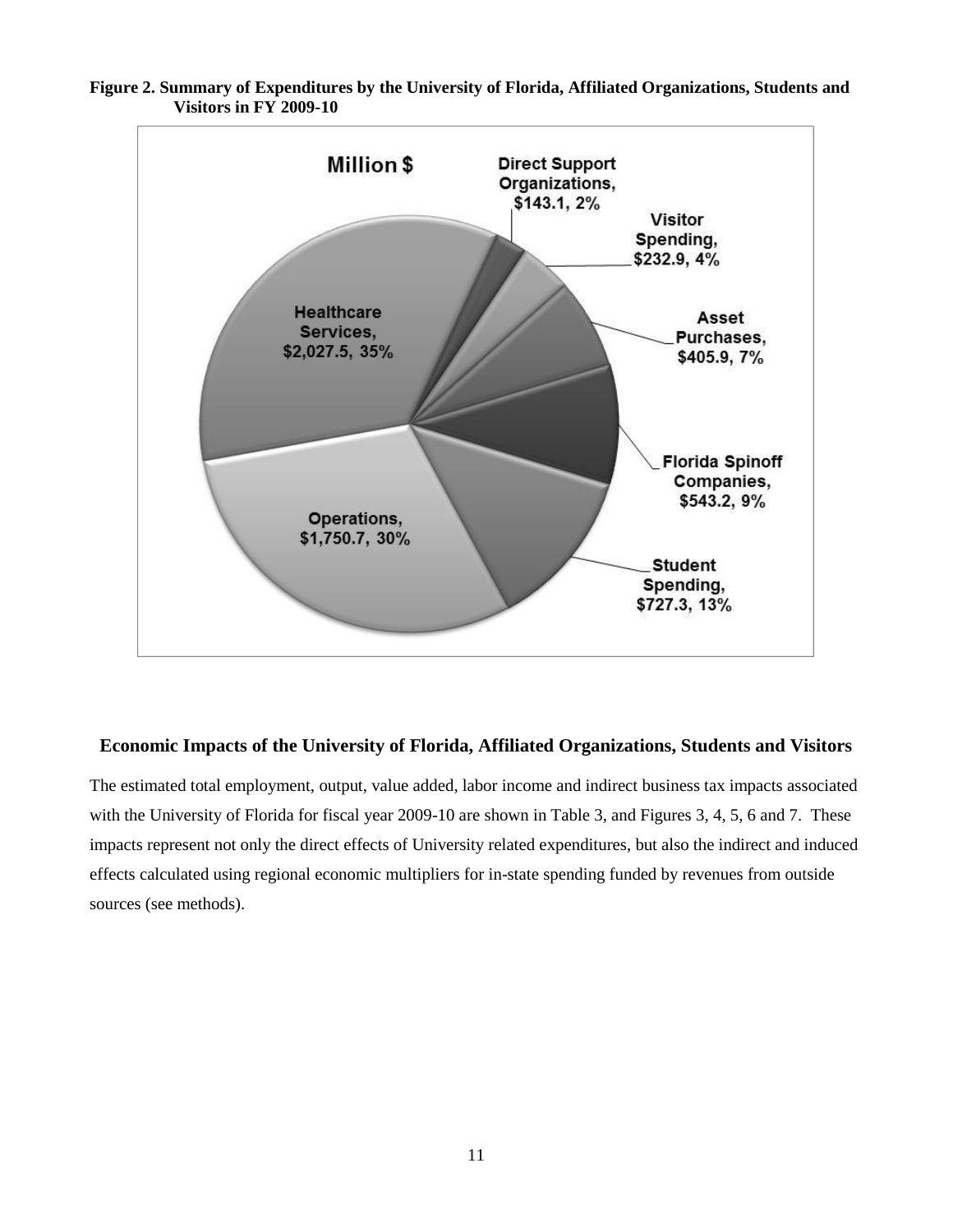

# **Figure 2. Summary of Expenditures by the University of Florida, Affiliated Organizations, Students and Visitors in FY 2009-10**

# <span id="page-11-0"></span>**Economic Impacts of the University of Florida, Affiliated Organizations, Students and Visitors**

The estimated total employment, output, value added, labor income and indirect business tax impacts associated with the University of Florida for fiscal year 2009-10 are shown in Table 3, and Figures 3, 4, 5, 6 and 7. These impacts represent not only the direct effects of University related expenditures, but also the indirect and induced effects calculated using regional economic multipliers for in-state spending funded by revenues from outside sources (see methods).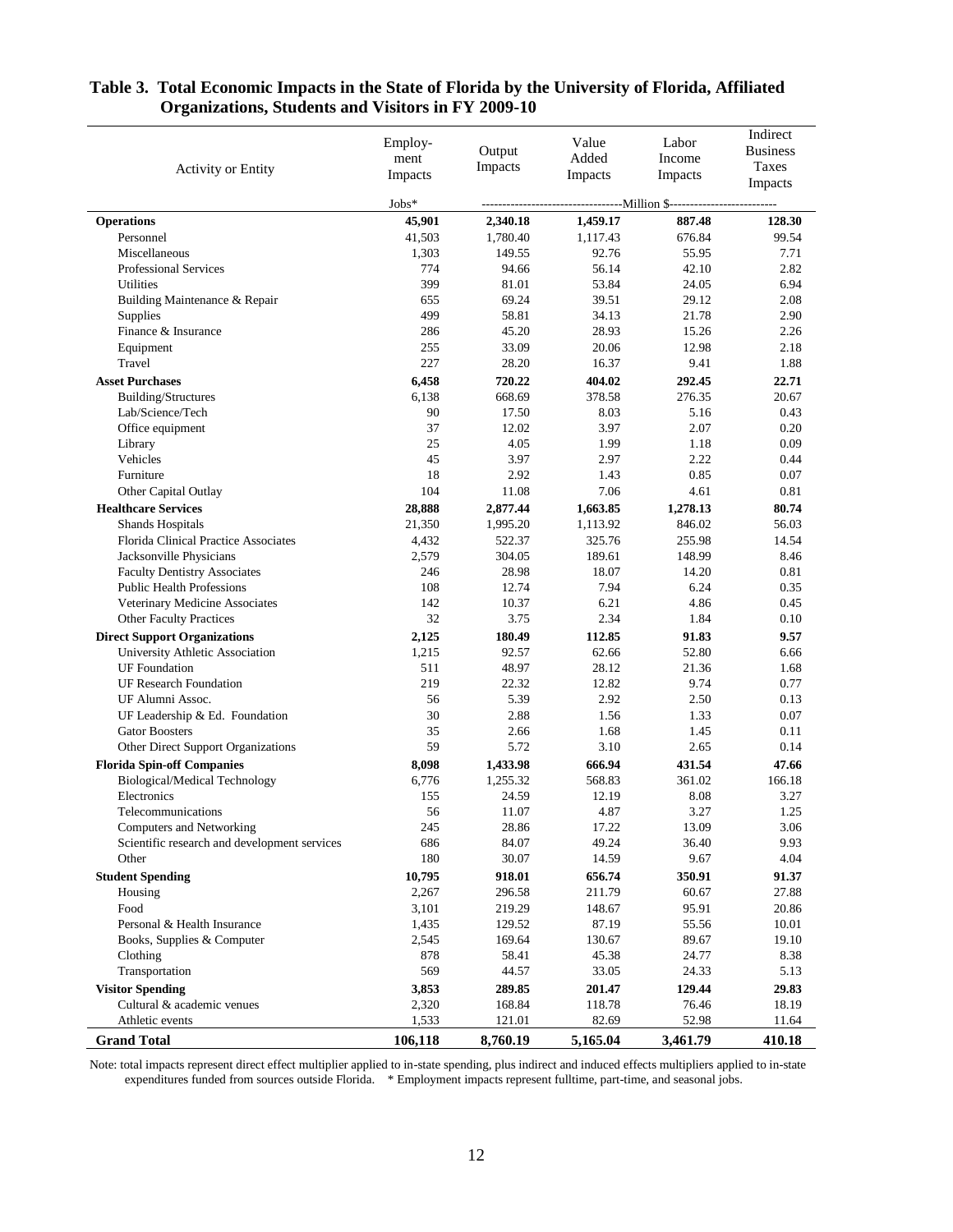| <b>Activity or Entity</b>                                | Employ-<br>ment<br>Impacts | Output<br>Impacts  | Value<br>Added<br>Impacts | Labor<br>Income<br>Impacts                  | Indirect<br><b>Business</b><br>Taxes<br>Impacts |
|----------------------------------------------------------|----------------------------|--------------------|---------------------------|---------------------------------------------|-------------------------------------------------|
|                                                          | Jobs*                      |                    |                           | --------Million \$------------------------- |                                                 |
| <b>Operations</b>                                        | 45,901                     | 2,340.18           | 1,459.17                  | 887.48                                      | 128.30                                          |
| Personnel                                                | 41,503                     | 1,780.40           | 1,117.43                  | 676.84                                      | 99.54                                           |
| Miscellaneous                                            | 1,303                      | 149.55             | 92.76                     | 55.95                                       | 7.71                                            |
| <b>Professional Services</b>                             | 774                        | 94.66              | 56.14                     | 42.10                                       | 2.82                                            |
| Utilities                                                | 399                        | 81.01              | 53.84                     | 24.05                                       | 6.94                                            |
| Building Maintenance & Repair                            | 655                        | 69.24              | 39.51                     | 29.12                                       | 2.08                                            |
| Supplies                                                 | 499                        | 58.81              | 34.13                     | 21.78                                       | 2.90                                            |
| Finance & Insurance                                      | 286                        | 45.20              | 28.93                     | 15.26                                       | 2.26                                            |
| Equipment                                                | 255                        | 33.09              | 20.06                     | 12.98                                       | 2.18                                            |
| Travel                                                   | 227                        | 28.20              | 16.37                     | 9.41                                        | 1.88                                            |
| <b>Asset Purchases</b>                                   | 6,458                      | 720.22             | 404.02                    | 292.45                                      | 22.71                                           |
| Building/Structures                                      | 6,138                      | 668.69             | 378.58                    | 276.35                                      | 20.67                                           |
| Lab/Science/Tech                                         | 90                         | 17.50              | 8.03                      | 5.16                                        | 0.43                                            |
| Office equipment                                         | 37                         | 12.02              | 3.97                      | 2.07                                        | 0.20                                            |
| Library                                                  | 25                         | 4.05               | 1.99                      | 1.18                                        | 0.09                                            |
| Vehicles                                                 | 45<br>18                   | 3.97<br>2.92       | 2.97                      | 2.22<br>0.85                                | 0.44<br>0.07                                    |
| Furniture<br>Other Capital Outlay                        | 104                        | 11.08              | 1.43<br>7.06              | 4.61                                        | 0.81                                            |
| <b>Healthcare Services</b>                               | 28,888                     |                    | 1,663.85                  |                                             | 80.74                                           |
|                                                          | 21,350                     | 2,877.44           | 1,113.92                  | 1,278.13<br>846.02                          | 56.03                                           |
| Shands Hospitals<br>Florida Clinical Practice Associates | 4,432                      | 1,995.20<br>522.37 | 325.76                    | 255.98                                      | 14.54                                           |
| Jacksonville Physicians                                  | 2,579                      | 304.05             | 189.61                    | 148.99                                      | 8.46                                            |
| <b>Faculty Dentistry Associates</b>                      | 246                        | 28.98              | 18.07                     | 14.20                                       | 0.81                                            |
| <b>Public Health Professions</b>                         | 108                        | 12.74              | 7.94                      | 6.24                                        | 0.35                                            |
| Veterinary Medicine Associates                           | 142                        | 10.37              | 6.21                      | 4.86                                        | 0.45                                            |
| <b>Other Faculty Practices</b>                           | 32                         | 3.75               | 2.34                      | 1.84                                        | 0.10                                            |
| <b>Direct Support Organizations</b>                      | 2,125                      | 180.49             | 112.85                    | 91.83                                       | 9.57                                            |
| University Athletic Association                          | 1,215                      | 92.57              | 62.66                     | 52.80                                       | 6.66                                            |
| <b>UF</b> Foundation                                     | 511                        | 48.97              | 28.12                     | 21.36                                       | 1.68                                            |
| <b>UF Research Foundation</b>                            | 219                        | 22.32              | 12.82                     | 9.74                                        | 0.77                                            |
| UF Alumni Assoc.                                         | 56                         | 5.39               | 2.92                      | 2.50                                        | 0.13                                            |
| UF Leadership & Ed. Foundation                           | 30                         | 2.88               | 1.56                      | 1.33                                        | 0.07                                            |
| <b>Gator Boosters</b>                                    | 35                         | 2.66               | 1.68                      | 1.45                                        | 0.11                                            |
| Other Direct Support Organizations                       | 59                         | 5.72               | 3.10                      | 2.65                                        | 0.14                                            |
| <b>Florida Spin-off Companies</b>                        | 8,098                      | 1,433.98           | 666.94                    | 431.54                                      | 47.66                                           |
| <b>Biological/Medical Technology</b>                     | 6,776                      | 1,255.32           | 568.83                    | 361.02                                      | 166.18                                          |
| Electronics                                              | 155                        | 24.59              | 12.19                     | 8.08                                        | 3.27                                            |
| Telecommunications                                       | 56                         | 11.07              | 4.87                      | 3.27                                        | 1.25                                            |
| <b>Computers and Networking</b>                          | 245                        | 28.86              | 17.22                     | 13.09                                       | 3.06                                            |
| Scientific research and development services             | 686                        | 84.07              | 49.24                     | 36.40                                       | 9.93                                            |
| Other                                                    | 180                        | 30.07              | 14.59                     | 9.67                                        | 4.04                                            |
| <b>Student Spending</b>                                  | 10,795                     | 918.01             | 656.74                    | 350.91                                      | 91.37                                           |
| Housing                                                  | 2,267                      | 296.58             | 211.79                    | 60.67                                       | 27.88                                           |
| Food                                                     | 3,101                      | 219.29<br>129.52   | 148.67                    | 95.91                                       | 20.86                                           |
| Personal & Health Insurance                              | 1,435                      |                    | 87.19                     | 55.56                                       | 10.01<br>19.10                                  |
| Books, Supplies & Computer<br>Clothing                   | 2,545<br>878               | 169.64<br>58.41    | 130.67<br>45.38           | 89.67<br>24.77                              | 8.38                                            |
| Transportation                                           | 569                        | 44.57              | 33.05                     | 24.33                                       | 5.13                                            |
| <b>Visitor Spending</b>                                  | 3,853                      | 289.85             | 201.47                    | 129.44                                      | 29.83                                           |
| Cultural & academic venues                               | 2,320                      | 168.84             | 118.78                    | 76.46                                       | 18.19                                           |
| Athletic events                                          | 1,533                      | 121.01             | 82.69                     | 52.98                                       | 11.64                                           |
| <b>Grand Total</b>                                       | 106,118                    | 8,760.19           | 5,165.04                  | 3,461.79                                    | 410.18                                          |

# **Table 3. Total Economic Impacts in the State of Florida by the University of Florida, Affiliated Organizations, Students and Visitors in FY 2009-10**

Note: total impacts represent direct effect multiplier applied to in-state spending, plus indirect and induced effects multipliers applied to in-state expenditures funded from sources outside Florida. \* Employment impacts represent fulltime, part-time, and seasonal jobs.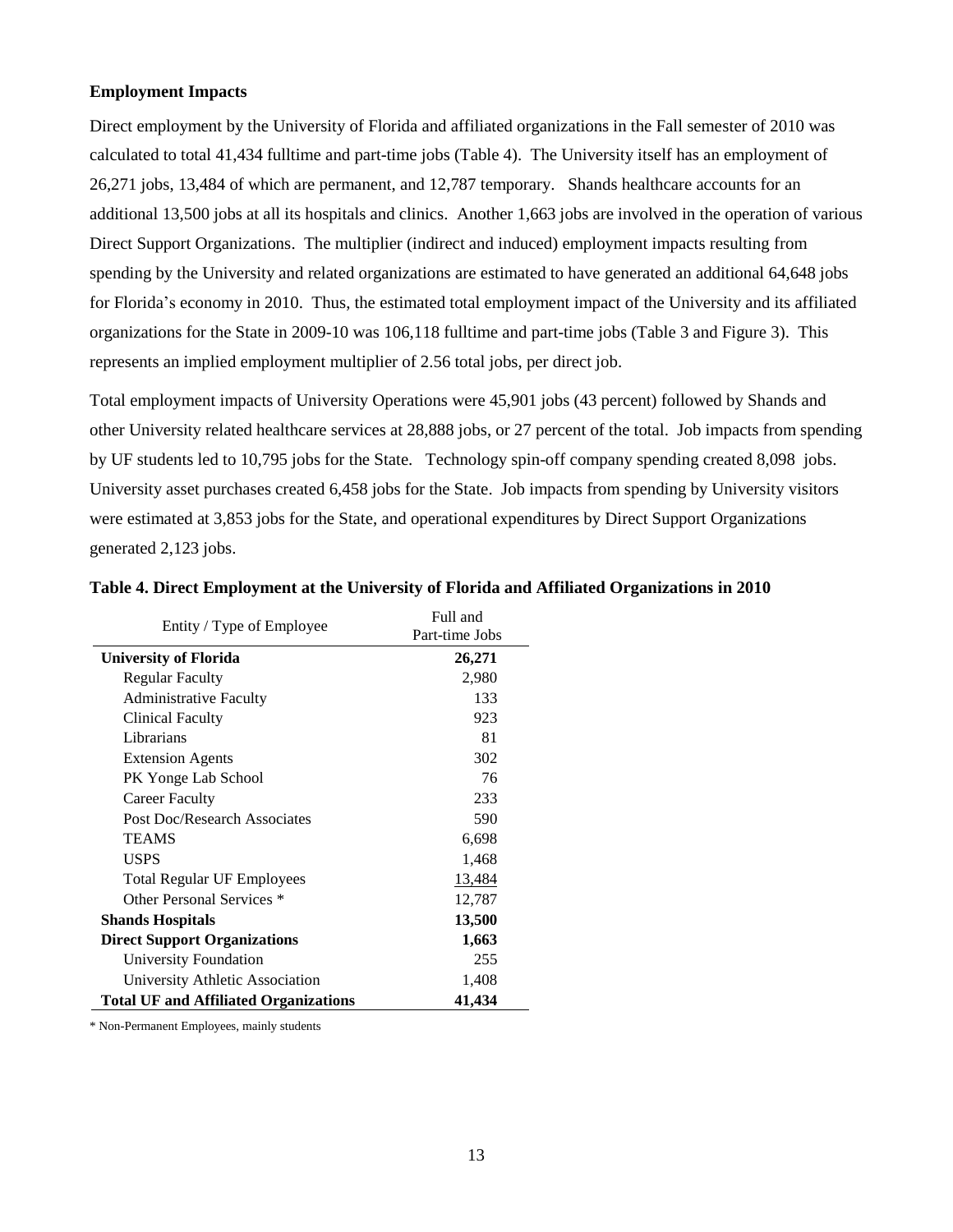#### <span id="page-13-0"></span>**Employment Impacts**

Direct employment by the University of Florida and affiliated organizations in the Fall semester of 2010 was calculated to total 41,434 fulltime and part-time jobs (Table 4). The University itself has an employment of 26,271 jobs, 13,484 of which are permanent, and 12,787 temporary. Shands healthcare accounts for an additional 13,500 jobs at all its hospitals and clinics. Another 1,663 jobs are involved in the operation of various Direct Support Organizations. The multiplier (indirect and induced) employment impacts resulting from spending by the University and related organizations are estimated to have generated an additional 64,648 jobs for Florida's economy in 2010. Thus, the estimated total employment impact of the University and its affiliated organizations for the State in 2009-10 was 106,118 fulltime and part-time jobs (Table 3 and Figure 3). This represents an implied employment multiplier of 2.56 total jobs, per direct job.

Total employment impacts of University Operations were 45,901 jobs (43 percent) followed by Shands and other University related healthcare services at 28,888 jobs, or 27 percent of the total. Job impacts from spending by UF students led to 10,795 jobs for the State. Technology spin-off company spending created 8,098 jobs. University asset purchases created 6,458 jobs for the State. Job impacts from spending by University visitors were estimated at 3,853 jobs for the State, and operational expenditures by Direct Support Organizations generated 2,123 jobs.

| Entity / Type of Employee                    | Full and       |
|----------------------------------------------|----------------|
|                                              | Part-time Jobs |
| <b>University of Florida</b>                 | 26,271         |
| <b>Regular Faculty</b>                       | 2,980          |
| <b>Administrative Faculty</b>                | 133            |
| Clinical Faculty                             | 923            |
| Librarians                                   | 81             |
| <b>Extension Agents</b>                      | 302            |
| PK Yonge Lab School                          | 76             |
| <b>Career Faculty</b>                        | 233            |
| Post Doc/Research Associates                 | 590            |
| <b>TEAMS</b>                                 | 6,698          |
| <b>USPS</b>                                  | 1,468          |
| <b>Total Regular UF Employees</b>            | 13,484         |
| Other Personal Services *                    | 12,787         |
| <b>Shands Hospitals</b>                      | 13,500         |
| <b>Direct Support Organizations</b>          | 1,663          |
| University Foundation                        | 255            |
| University Athletic Association              | 1,408          |
| <b>Total UF and Affiliated Organizations</b> | 41,434         |

|  |  | Table 4. Direct Employment at the University of Florida and Affiliated Organizations in 2010 |
|--|--|----------------------------------------------------------------------------------------------|
|  |  |                                                                                              |

\* Non-Permanent Employees, mainly students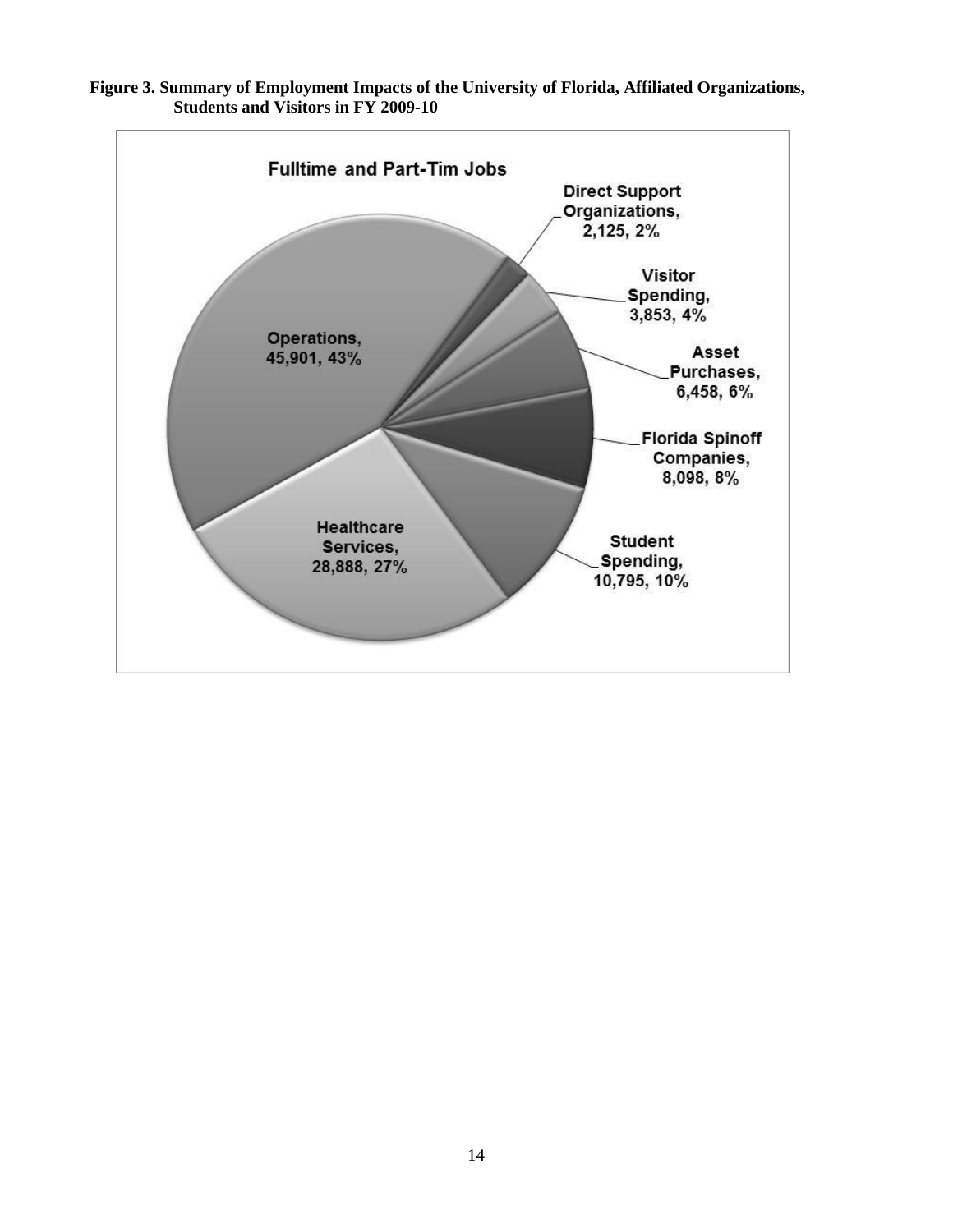

**Figure 3. Summary of Employment Impacts of the University of Florida, Affiliated Organizations, Students and Visitors in FY 2009-10**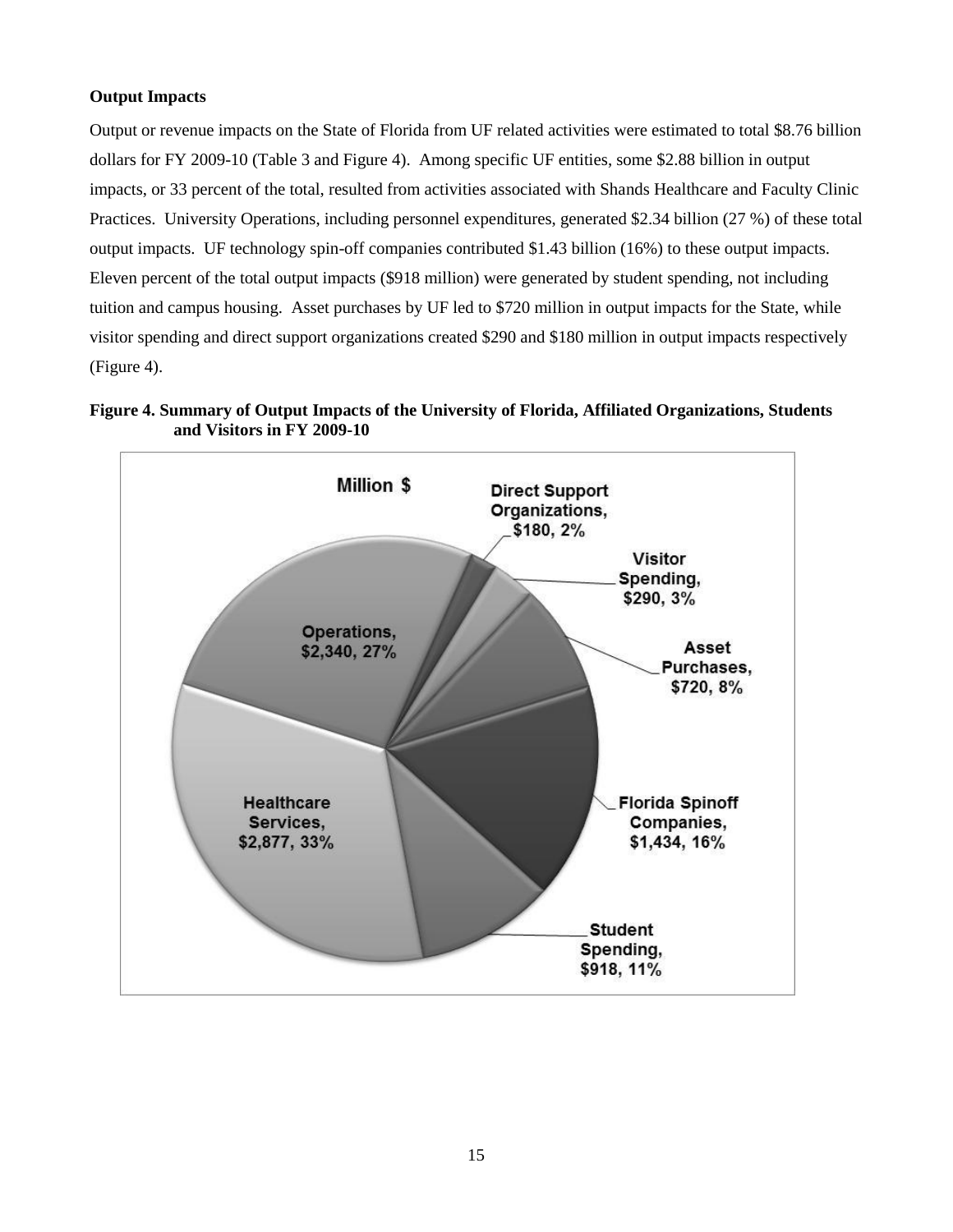# <span id="page-15-0"></span>**Output Impacts**

Output or revenue impacts on the State of Florida from UF related activities were estimated to total \$8.76 billion dollars for FY 2009-10 (Table 3 and Figure 4). Among specific UF entities, some \$2.88 billion in output impacts, or 33 percent of the total, resulted from activities associated with Shands Healthcare and Faculty Clinic Practices. University Operations, including personnel expenditures, generated \$2.34 billion (27 %) of these total output impacts. UF technology spin-off companies contributed \$1.43 billion (16%) to these output impacts. Eleven percent of the total output impacts (\$918 million) were generated by student spending, not including tuition and campus housing. Asset purchases by UF led to \$720 million in output impacts for the State, while visitor spending and direct support organizations created \$290 and \$180 million in output impacts respectively (Figure 4).



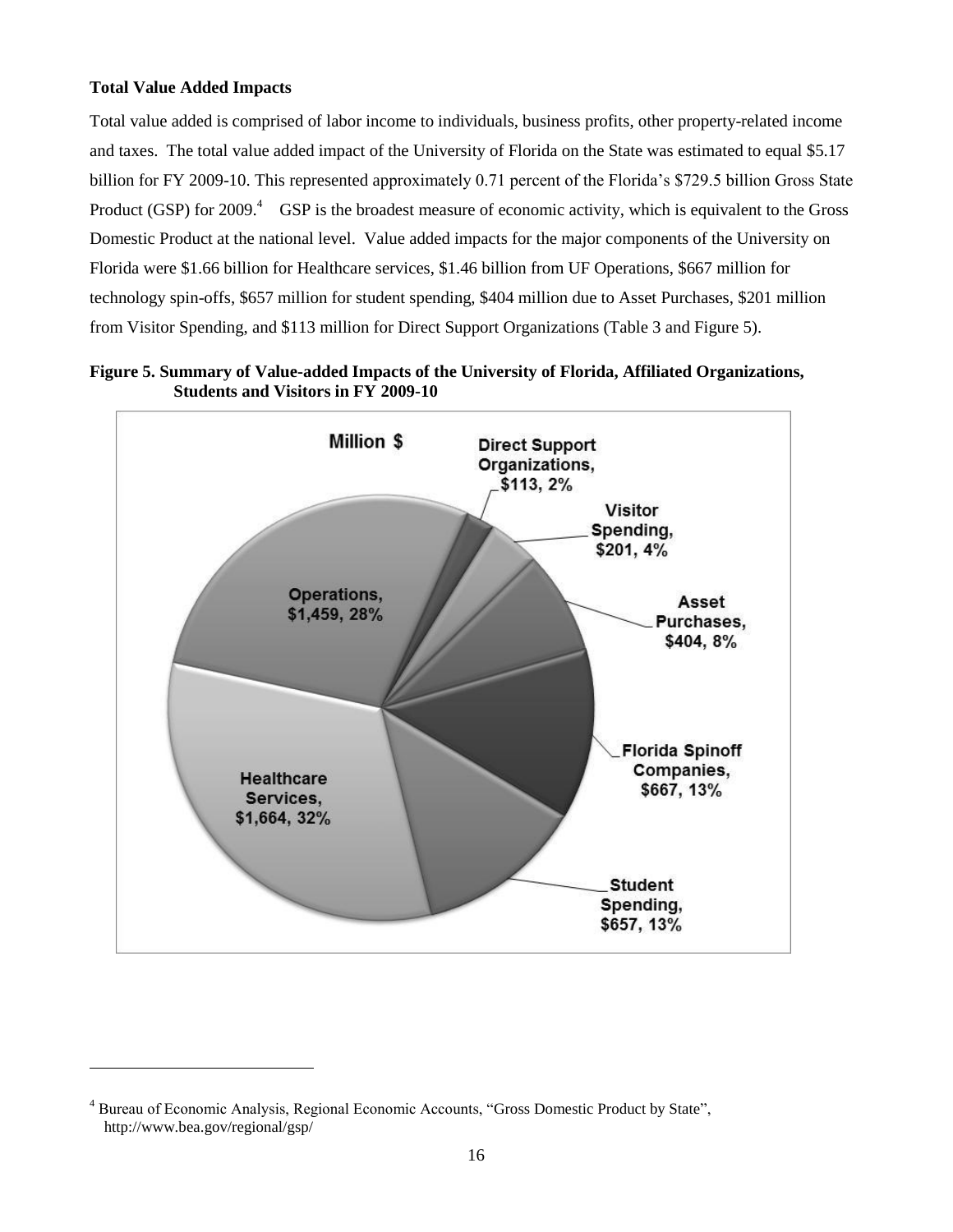# <span id="page-16-0"></span>**Total Value Added Impacts**

l

Total value added is comprised of labor income to individuals, business profits, other property-related income and taxes. The total value added impact of the University of Florida on the State was estimated to equal \$5.17 billion for FY 2009-10. This represented approximately 0.71 percent of the Florida's \$729.5 billion Gross State Product (GSP) for 2009.<sup>4</sup> GSP is the broadest measure of economic activity, which is equivalent to the Gross Domestic Product at the national level. Value added impacts for the major components of the University on Florida were \$1.66 billion for Healthcare services, \$1.46 billion from UF Operations, \$667 million for technology spin-offs, \$657 million for student spending, \$404 million due to Asset Purchases, \$201 million from Visitor Spending, and \$113 million for Direct Support Organizations (Table 3 and Figure 5).



**Figure 5. Summary of Value-added Impacts of the University of Florida, Affiliated Organizations, Students and Visitors in FY 2009-10**

<sup>4</sup> Bureau of Economic Analysis, Regional Economic Accounts, "Gross Domestic Product by State", http://www.bea.gov/regional/gsp/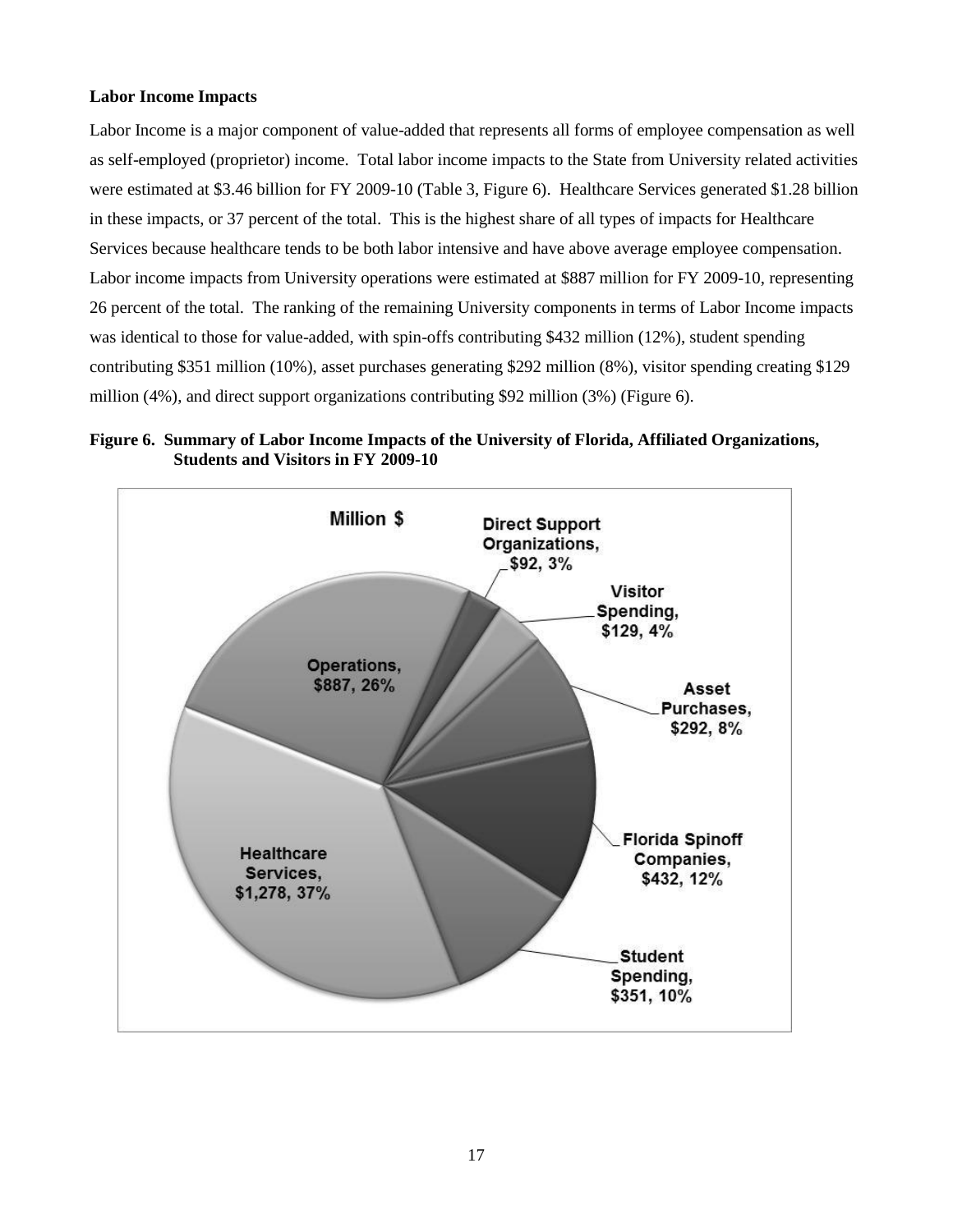# <span id="page-17-0"></span>**Labor Income Impacts**

Labor Income is a major component of value-added that represents all forms of employee compensation as well as self-employed (proprietor) income. Total labor income impacts to the State from University related activities were estimated at \$3.46 billion for FY 2009-10 (Table 3, Figure 6). Healthcare Services generated \$1.28 billion in these impacts, or 37 percent of the total. This is the highest share of all types of impacts for Healthcare Services because healthcare tends to be both labor intensive and have above average employee compensation. Labor income impacts from University operations were estimated at \$887 million for FY 2009-10, representing 26 percent of the total. The ranking of the remaining University components in terms of Labor Income impacts was identical to those for value-added, with spin-offs contributing \$432 million (12%), student spending contributing \$351 million (10%), asset purchases generating \$292 million (8%), visitor spending creating \$129 million (4%), and direct support organizations contributing \$92 million (3%) (Figure 6).

**Figure 6. Summary of Labor Income Impacts of the University of Florida, Affiliated Organizations, Students and Visitors in FY 2009-10**

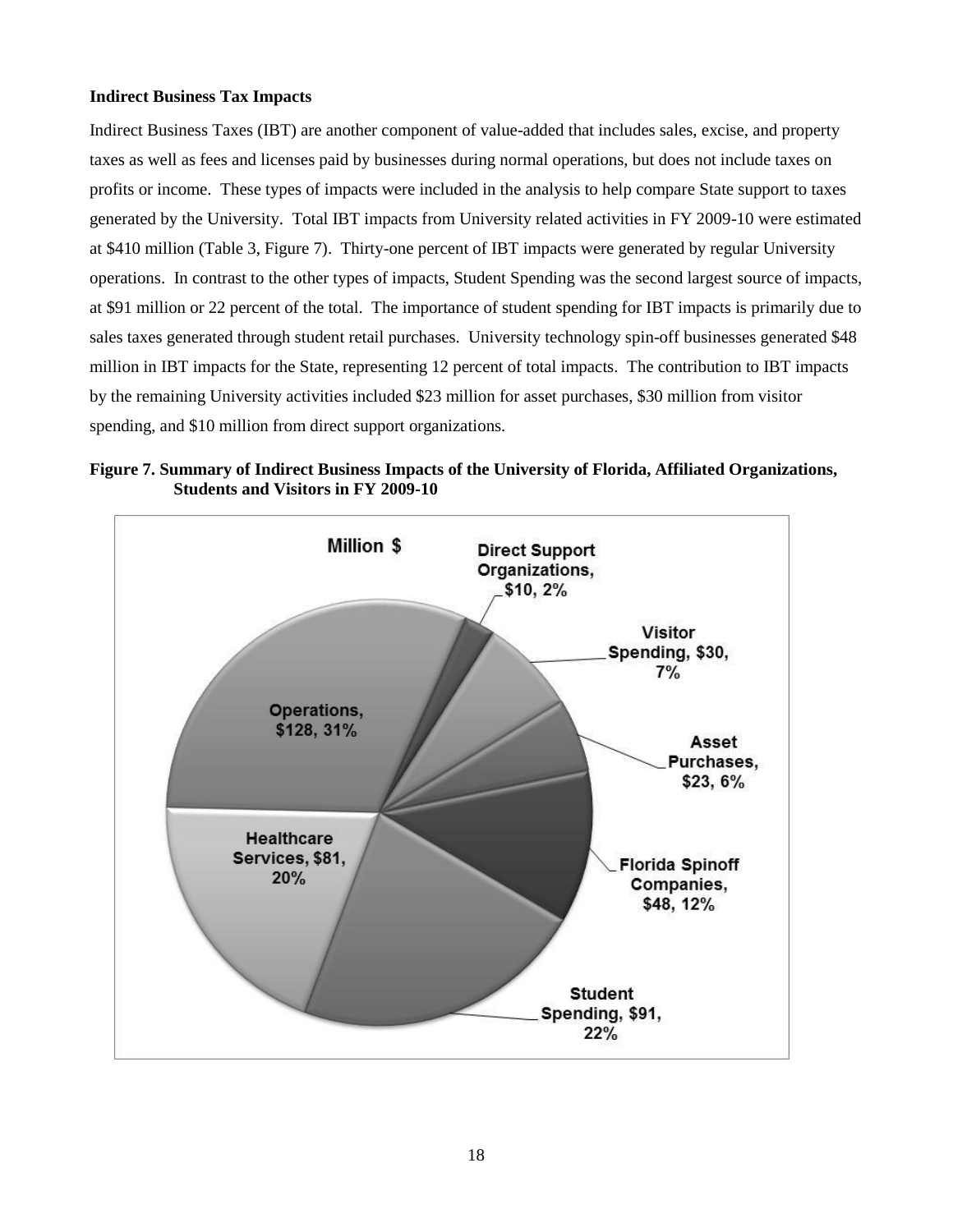# <span id="page-18-0"></span>**Indirect Business Tax Impacts**

Indirect Business Taxes (IBT) are another component of value-added that includes sales, excise, and property taxes as well as fees and licenses paid by businesses during normal operations, but does not include taxes on profits or income. These types of impacts were included in the analysis to help compare State support to taxes generated by the University. Total IBT impacts from University related activities in FY 2009-10 were estimated at \$410 million (Table 3, Figure 7). Thirty-one percent of IBT impacts were generated by regular University operations. In contrast to the other types of impacts, Student Spending was the second largest source of impacts, at \$91 million or 22 percent of the total. The importance of student spending for IBT impacts is primarily due to sales taxes generated through student retail purchases. University technology spin-off businesses generated \$48 million in IBT impacts for the State, representing 12 percent of total impacts. The contribution to IBT impacts by the remaining University activities included \$23 million for asset purchases, \$30 million from visitor spending, and \$10 million from direct support organizations.

**Figure 7. Summary of Indirect Business Impacts of the University of Florida, Affiliated Organizations, Students and Visitors in FY 2009-10**

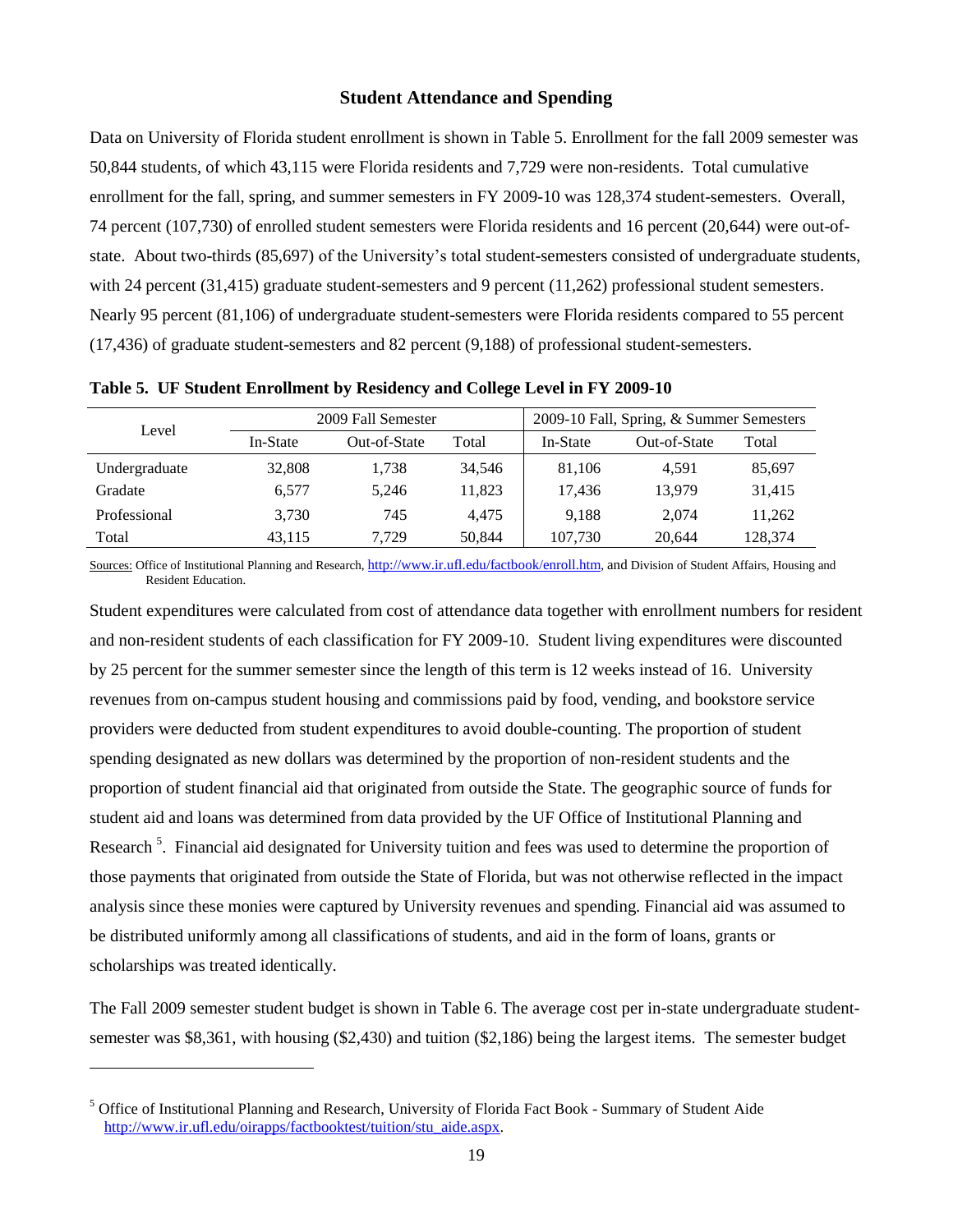# **Student Attendance and Spending**

<span id="page-19-0"></span>Data on University of Florida student enrollment is shown in Table 5. Enrollment for the fall 2009 semester was 50,844 students, of which 43,115 were Florida residents and 7,729 were non-residents. Total cumulative enrollment for the fall, spring, and summer semesters in FY 2009-10 was 128,374 student-semesters. Overall, 74 percent (107,730) of enrolled student semesters were Florida residents and 16 percent (20,644) were out-ofstate. About two-thirds (85,697) of the University's total student-semesters consisted of undergraduate students, with 24 percent (31,415) graduate student-semesters and 9 percent (11,262) professional student semesters. Nearly 95 percent (81,106) of undergraduate student-semesters were Florida residents compared to 55 percent (17,436) of graduate student-semesters and 82 percent (9,188) of professional student-semesters.

| Level         |          | 2009 Fall Semester |        | 2009-10 Fall, Spring, & Summer Semesters |              |         |  |
|---------------|----------|--------------------|--------|------------------------------------------|--------------|---------|--|
|               | In-State | Out-of-State       | Total  | In-State                                 | Out-of-State | Total   |  |
| Undergraduate | 32,808   | 1.738              | 34.546 | 81.106                                   | 4.591        | 85,697  |  |
| Gradate       | 6.577    | 5.246              | 11.823 | 17.436                                   | 13.979       | 31,415  |  |
| Professional  | 3.730    | 745                | 4.475  | 9.188                                    | 2.074        | 11.262  |  |
| Total         | 43.115   | 7.729              | 50,844 | 107,730                                  | 20.644       | 128,374 |  |

**Table 5. UF Student Enrollment by Residency and College Level in FY 2009-10**

Sources: Office of Institutional Planning and Research, <http://www.ir.ufl.edu/factbook/enroll.htm>, and Division of Student Affairs, Housing and Resident Education.

Student expenditures were calculated from cost of attendance data together with enrollment numbers for resident and non-resident students of each classification for FY 2009-10. Student living expenditures were discounted by 25 percent for the summer semester since the length of this term is 12 weeks instead of 16. University revenues from on-campus student housing and commissions paid by food, vending, and bookstore service providers were deducted from student expenditures to avoid double-counting. The proportion of student spending designated as new dollars was determined by the proportion of non-resident students and the proportion of student financial aid that originated from outside the State. The geographic source of funds for student aid and loans was determined from data provided by the UF Office of Institutional Planning and Research<sup>5</sup>. Financial aid designated for University tuition and fees was used to determine the proportion of those payments that originated from outside the State of Florida, but was not otherwise reflected in the impact analysis since these monies were captured by University revenues and spending. Financial aid was assumed to be distributed uniformly among all classifications of students, and aid in the form of loans, grants or scholarships was treated identically.

The Fall 2009 semester student budget is shown in Table 6. The average cost per in-state undergraduate studentsemester was \$8,361, with housing (\$2,430) and tuition (\$2,186) being the largest items. The semester budget

l

<sup>5</sup> Office of Institutional Planning and Research, University of Florida Fact Book - Summary of Student Aide [http://www.ir.ufl.edu/oirapps/factbooktest/tuition/stu\\_aide.aspx.](http://www.ir.ufl.edu/oirapps/factbooktest/tuition/stu_aide.aspx)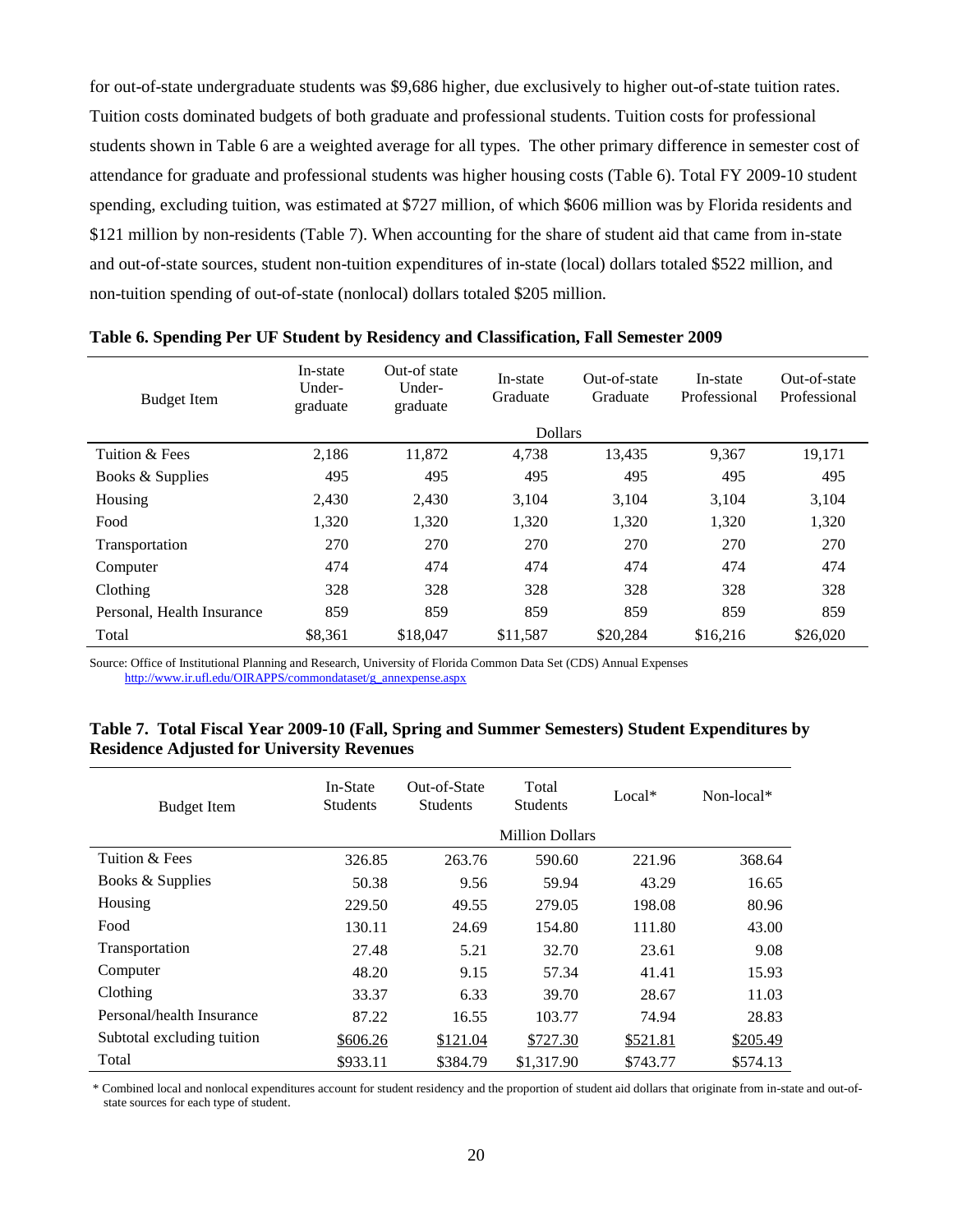for out-of-state undergraduate students was \$9,686 higher, due exclusively to higher out-of-state tuition rates. Tuition costs dominated budgets of both graduate and professional students. Tuition costs for professional students shown in Table 6 are a weighted average for all types. The other primary difference in semester cost of attendance for graduate and professional students was higher housing costs (Table 6). Total FY 2009-10 student spending, excluding tuition, was estimated at \$727 million, of which \$606 million was by Florida residents and \$121 million by non-residents (Table 7). When accounting for the share of student aid that came from in-state and out-of-state sources, student non-tuition expenditures of in-state (local) dollars totaled \$522 million, and non-tuition spending of out-of-state (nonlocal) dollars totaled \$205 million.

| <b>Budget Item</b>         | In-state<br>Under-<br>graduate | Out-of state<br>Under-<br>graduate | In-state<br>Graduate | Out-of-state<br>Graduate | In-state<br>Professional | Out-of-state<br>Professional |
|----------------------------|--------------------------------|------------------------------------|----------------------|--------------------------|--------------------------|------------------------------|
|                            |                                |                                    | <b>Dollars</b>       |                          |                          |                              |
| Tuition & Fees             | 2,186                          | 11,872                             | 4,738                | 13,435                   | 9,367                    | 19,171                       |
| Books & Supplies           | 495                            | 495                                | 495                  | 495                      | 495                      | 495                          |
| Housing                    | 2,430                          | 2,430                              | 3,104                | 3.104                    | 3,104                    | 3,104                        |
| Food                       | 1,320                          | 1,320                              | 1,320                | 1,320                    | 1,320                    | 1,320                        |
| Transportation             | 270                            | 270                                | 270                  | 270                      | 270                      | 270                          |
| Computer                   | 474                            | 474                                | 474                  | 474                      | 474                      | 474                          |
| Clothing                   | 328                            | 328                                | 328                  | 328                      | 328                      | 328                          |
| Personal, Health Insurance | 859                            | 859                                | 859                  | 859                      | 859                      | 859                          |
| Total                      | \$8,361                        | \$18,047                           | \$11,587             | \$20,284                 | \$16,216                 | \$26,020                     |

**Table 6. Spending Per UF Student by Residency and Classification, Fall Semester 2009**

Source: Office of Institutional Planning and Research, University of Florida Common Data Set (CDS) Annual Expenses [http://www.ir.ufl.edu/OIRAPPS/commondataset/g\\_annexpense.aspx](http://www.ir.ufl.edu/OIRAPPS/commondataset/g_annexpense.aspx)

| Table 7. Total Fiscal Year 2009-10 (Fall, Spring and Summer Semesters) Student Expenditures by |  |  |  |
|------------------------------------------------------------------------------------------------|--|--|--|
| <b>Residence Adjusted for University Revenues</b>                                              |  |  |  |

| <b>Budget Item</b>         | In-State<br><b>Students</b> | Out-of-State<br><b>Students</b> | Total<br><b>Students</b> | $Local*$ | Non-local* |
|----------------------------|-----------------------------|---------------------------------|--------------------------|----------|------------|
|                            |                             |                                 | <b>Million Dollars</b>   |          |            |
| Tuition & Fees             | 326.85                      | 263.76                          | 590.60                   | 221.96   | 368.64     |
| Books & Supplies           | 50.38                       | 9.56                            | 59.94                    | 43.29    | 16.65      |
| Housing                    | 229.50                      | 49.55                           | 279.05                   | 198.08   | 80.96      |
| Food                       | 130.11                      | 24.69                           | 154.80                   | 111.80   | 43.00      |
| Transportation             | 27.48                       | 5.21                            | 32.70                    | 23.61    | 9.08       |
| Computer                   | 48.20                       | 9.15                            | 57.34                    | 41.41    | 15.93      |
| Clothing                   | 33.37                       | 6.33                            | 39.70                    | 28.67    | 11.03      |
| Personal/health Insurance  | 87.22                       | 16.55                           | 103.77                   | 74.94    | 28.83      |
| Subtotal excluding tuition | \$606.26                    | \$121.04                        | \$727.30                 | \$521.81 | \$205.49   |
| Total                      | \$933.11                    | \$384.79                        | \$1,317.90               | \$743.77 | \$574.13   |

\* Combined local and nonlocal expenditures account for student residency and the proportion of student aid dollars that originate from in-state and out-ofstate sources for each type of student.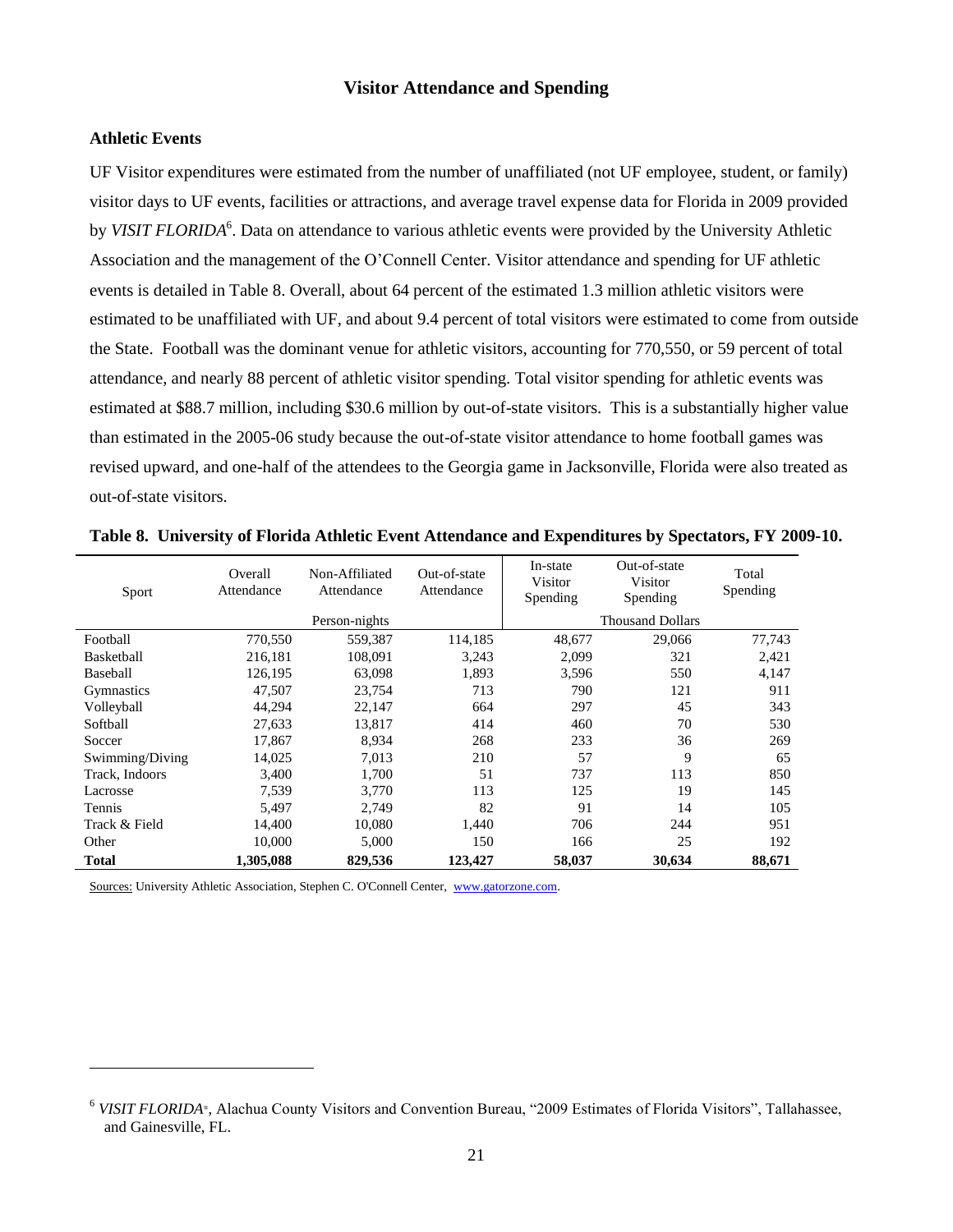# **Visitor Attendance and Spending**

# <span id="page-21-1"></span><span id="page-21-0"></span>**Athletic Events**

l

UF Visitor expenditures were estimated from the number of unaffiliated (not UF employee, student, or family) visitor days to UF events, facilities or attractions, and average travel expense data for Florida in 2009 provided by *VISIT FLORIDA<sup>6</sup>*. Data on attendance to various athletic events were provided by the University Athletic Association and the management of the O'Connell Center. Visitor attendance and spending for UF athletic events is detailed in Table 8. Overall, about 64 percent of the estimated 1.3 million athletic visitors were estimated to be unaffiliated with UF, and about 9.4 percent of total visitors were estimated to come from outside the State. Football was the dominant venue for athletic visitors, accounting for 770,550, or 59 percent of total attendance, and nearly 88 percent of athletic visitor spending. Total visitor spending for athletic events was estimated at \$88.7 million, including \$30.6 million by out-of-state visitors. This is a substantially higher value than estimated in the 2005-06 study because the out-of-state visitor attendance to home football games was revised upward, and one-half of the attendees to the Georgia game in Jacksonville, Florida were also treated as out-of-state visitors.

| Sport             | Overall<br>Attendance | Non-Affiliated<br>Attendance | Out-of-state<br>Attendance | In-state<br>Visitor<br>Spending | Out-of-state<br>Visitor<br>Spending | Total<br>Spending |
|-------------------|-----------------------|------------------------------|----------------------------|---------------------------------|-------------------------------------|-------------------|
|                   |                       | Person-nights                |                            |                                 | <b>Thousand Dollars</b>             |                   |
| Football          | 770,550               | 559,387                      | 114,185                    | 48,677                          | 29,066                              | 77,743            |
| Basketball        | 216,181               | 108,091                      | 3,243                      | 2,099                           | 321                                 | 2,421             |
| Baseball          | 126,195               | 63,098                       | 1,893                      | 3,596                           | 550                                 | 4,147             |
| <b>Gymnastics</b> | 47,507                | 23,754                       | 713                        | 790                             | 121                                 | 911               |
| Volleyball        | 44,294                | 22,147                       | 664                        | 297                             | 45                                  | 343               |
| Softball          | 27,633                | 13,817                       | 414                        | 460                             | 70                                  | 530               |
| Soccer            | 17,867                | 8,934                        | 268                        | 233                             | 36                                  | 269               |
| Swimming/Diving   | 14,025                | 7,013                        | 210                        | 57                              | 9                                   | 65                |
| Track, Indoors    | 3,400                 | 1,700                        | 51                         | 737                             | 113                                 | 850               |
| Lacrosse          | 7,539                 | 3,770                        | 113                        | 125                             | 19                                  | 145               |
| Tennis            | 5,497                 | 2,749                        | 82                         | 91                              | 14                                  | 105               |
| Track & Field     | 14,400                | 10,080                       | 1.440                      | 706                             | 244                                 | 951               |
| Other             | 10.000                | 5,000                        | 150                        | 166                             | 25                                  | 192               |
| <b>Total</b>      | 1.305.088             | 829,536                      | 123,427                    | 58,037                          | 30,634                              | 88,671            |

**Table 8. University of Florida Athletic Event Attendance and Expenditures by Spectators, FY 2009-10.**

Sources: University Athletic Association, Stephen C. O'Connell Center, [www.gatorzone.com.](http://www.gatorzone.com/)

<sup>&</sup>lt;sup>6</sup> VISIT FLORIDA®, Alachua County Visitors and Convention Bureau, "2009 Estimates of Florida Visitors", Tallahassee, and Gainesville, FL.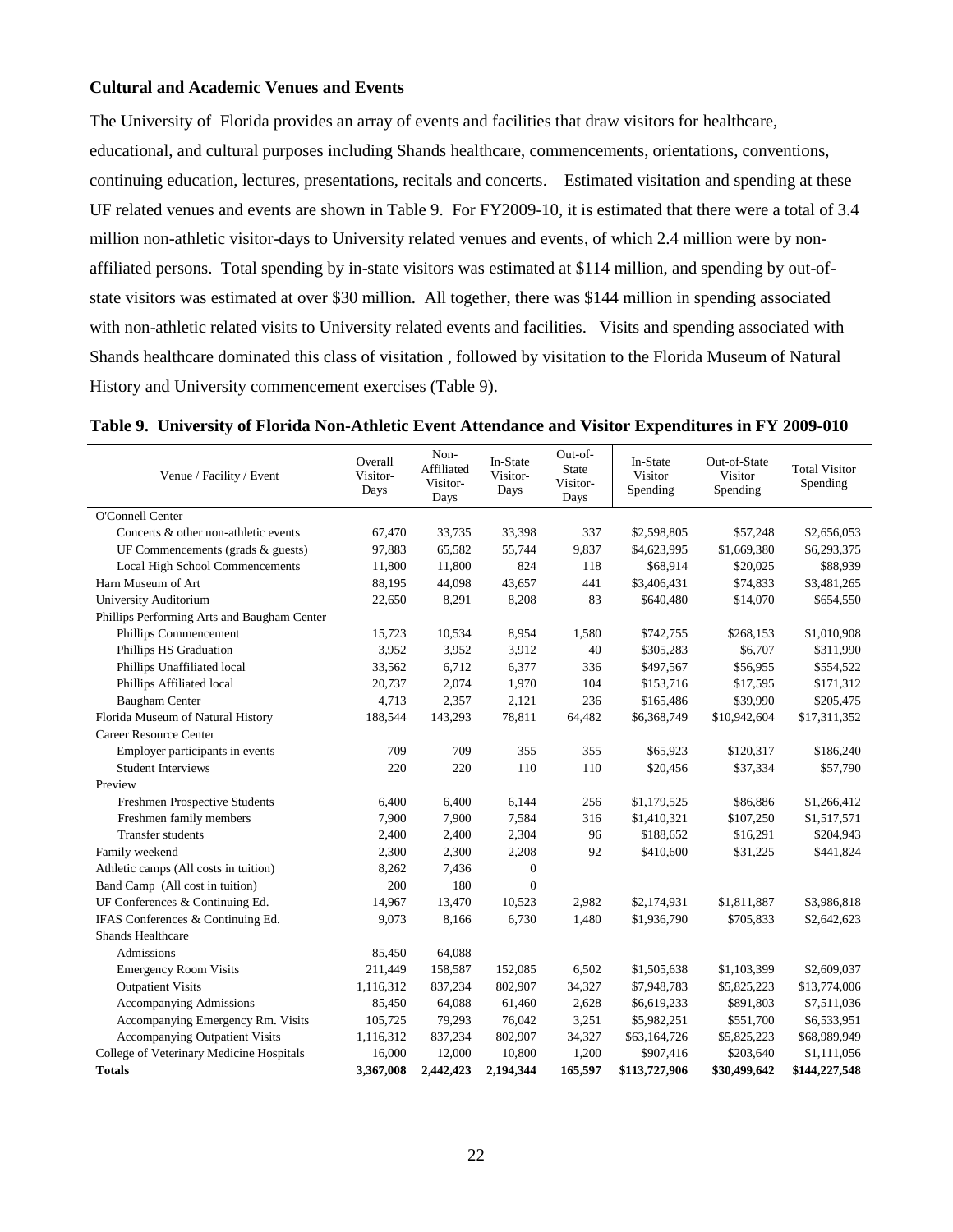# <span id="page-22-0"></span>**Cultural and Academic Venues and Events**

The University of Florida provides an array of events and facilities that draw visitors for healthcare, educational, and cultural purposes including Shands healthcare, commencements, orientations, conventions, continuing education, lectures, presentations, recitals and concerts. Estimated visitation and spending at these UF related venues and events are shown in Table 9. For FY2009-10, it is estimated that there were a total of 3.4 million non-athletic visitor-days to University related venues and events, of which 2.4 million were by nonaffiliated persons. Total spending by in-state visitors was estimated at \$114 million, and spending by out-ofstate visitors was estimated at over \$30 million. All together, there was \$144 million in spending associated with non-athletic related visits to University related events and facilities. Visits and spending associated with Shands healthcare dominated this class of visitation , followed by visitation to the Florida Museum of Natural History and University commencement exercises (Table 9).

|  |  | Table 9. University of Florida Non-Athletic Event Attendance and Visitor Expenditures in FY 2009-010 |  |  |  |
|--|--|------------------------------------------------------------------------------------------------------|--|--|--|
|  |  |                                                                                                      |  |  |  |

| Venue / Facility / Event                    | Overall<br>Visitor-<br>Days | Non-<br>Affiliated<br>Visitor-<br>Days | In-State<br>Visitor-<br>Days | Out-of-<br><b>State</b><br>Visitor-<br>Days | In-State<br>Visitor<br>Spending | Out-of-State<br>Visitor<br>Spending | <b>Total Visitor</b><br>Spending |
|---------------------------------------------|-----------------------------|----------------------------------------|------------------------------|---------------------------------------------|---------------------------------|-------------------------------------|----------------------------------|
| O'Connell Center                            |                             |                                        |                              |                                             |                                 |                                     |                                  |
| Concerts & other non-athletic events        | 67,470                      | 33,735                                 | 33,398                       | 337                                         | \$2,598,805                     | \$57,248                            | \$2,656,053                      |
| UF Commencements (grads & guests)           | 97,883                      | 65,582                                 | 55,744                       | 9,837                                       | \$4,623,995                     | \$1,669,380                         | \$6,293,375                      |
| Local High School Commencements             | 11,800                      | 11,800                                 | 824                          | 118                                         | \$68,914                        | \$20,025                            | \$88,939                         |
| Harn Museum of Art                          | 88,195                      | 44,098                                 | 43,657                       | 441                                         | \$3,406,431                     | \$74,833                            | \$3,481,265                      |
| University Auditorium                       | 22,650                      | 8,291                                  | 8,208                        | 83                                          | \$640,480                       | \$14,070                            | \$654,550                        |
| Phillips Performing Arts and Baugham Center |                             |                                        |                              |                                             |                                 |                                     |                                  |
| Phillips Commencement                       | 15,723                      | 10,534                                 | 8,954                        | 1,580                                       | \$742,755                       | \$268,153                           | \$1,010,908                      |
| Phillips HS Graduation                      | 3,952                       | 3,952                                  | 3,912                        | 40                                          | \$305,283                       | \$6,707                             | \$311,990                        |
| Phillips Unaffiliated local                 | 33,562                      | 6,712                                  | 6,377                        | 336                                         | \$497,567                       | \$56,955                            | \$554,522                        |
| Phillips Affiliated local                   | 20,737                      | 2,074                                  | 1,970                        | 104                                         | \$153,716                       | \$17,595                            | \$171,312                        |
| <b>Baugham Center</b>                       | 4,713                       | 2,357                                  | 2,121                        | 236                                         | \$165,486                       | \$39,990                            | \$205,475                        |
| Florida Museum of Natural History           | 188,544                     | 143,293                                | 78,811                       | 64,482                                      | \$6,368,749                     | \$10,942,604                        | \$17,311,352                     |
| <b>Career Resource Center</b>               |                             |                                        |                              |                                             |                                 |                                     |                                  |
| Employer participants in events             | 709                         | 709                                    | 355                          | 355                                         | \$65,923                        | \$120,317                           | \$186,240                        |
| <b>Student Interviews</b>                   | 220                         | 220                                    | 110                          | 110                                         | \$20,456                        | \$37,334                            | \$57,790                         |
| Preview                                     |                             |                                        |                              |                                             |                                 |                                     |                                  |
| Freshmen Prospective Students               | 6,400                       | 6,400                                  | 6,144                        | 256                                         | \$1,179,525                     | \$86,886                            | \$1,266,412                      |
| Freshmen family members                     | 7,900                       | 7,900                                  | 7,584                        | 316                                         | \$1,410,321                     | \$107,250                           | \$1,517,571                      |
| <b>Transfer students</b>                    | 2,400                       | 2,400                                  | 2,304                        | 96                                          | \$188,652                       | \$16,291                            | \$204,943                        |
| Family weekend                              | 2,300                       | 2,300                                  | 2,208                        | 92                                          | \$410,600                       | \$31,225                            | \$441,824                        |
| Athletic camps (All costs in tuition)       | 8,262                       | 7,436                                  | $\overline{0}$               |                                             |                                 |                                     |                                  |
| Band Camp (All cost in tuition)             | 200                         | 180                                    | $\overline{0}$               |                                             |                                 |                                     |                                  |
| UF Conferences & Continuing Ed.             | 14,967                      | 13,470                                 | 10,523                       | 2,982                                       | \$2,174,931                     | \$1,811,887                         | \$3,986,818                      |
| IFAS Conferences & Continuing Ed.           | 9,073                       | 8,166                                  | 6,730                        | 1,480                                       | \$1,936,790                     | \$705,833                           | \$2,642,623                      |
| <b>Shands Healthcare</b>                    |                             |                                        |                              |                                             |                                 |                                     |                                  |
| Admissions                                  | 85,450                      | 64,088                                 |                              |                                             |                                 |                                     |                                  |
| <b>Emergency Room Visits</b>                | 211,449                     | 158,587                                | 152,085                      | 6,502                                       | \$1,505,638                     | \$1,103,399                         | \$2,609,037                      |
| <b>Outpatient Visits</b>                    | 1,116,312                   | 837,234                                | 802,907                      | 34,327                                      | \$7,948,783                     | \$5,825,223                         | \$13,774,006                     |
| <b>Accompanying Admissions</b>              | 85,450                      | 64,088                                 | 61,460                       | 2,628                                       | \$6,619,233                     | \$891,803                           | \$7,511,036                      |
| Accompanying Emergency Rm. Visits           | 105,725                     | 79,293                                 | 76,042                       | 3,251                                       | \$5,982,251                     | \$551,700                           | \$6,533,951                      |
| Accompanying Outpatient Visits              | 1,116,312                   | 837,234                                | 802,907                      | 34,327                                      | \$63,164,726                    | \$5,825,223                         | \$68,989,949                     |
| College of Veterinary Medicine Hospitals    | 16,000                      | 12,000                                 | 10,800                       | 1,200                                       | \$907,416                       | \$203,640                           | \$1,111,056                      |
| <b>Totals</b>                               | 3,367,008                   | 2,442,423                              | 2,194,344                    | 165,597                                     | \$113,727,906                   | \$30,499,642                        | \$144,227,548                    |